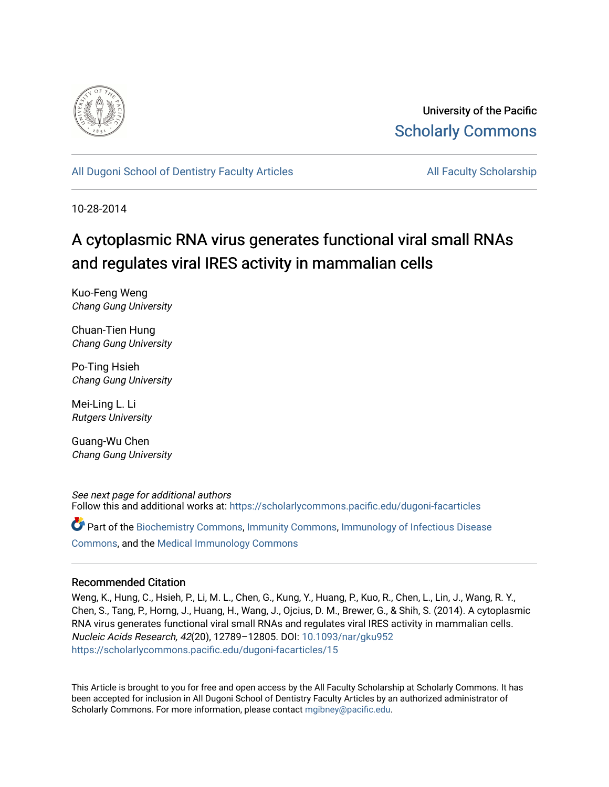

University of the Pacific [Scholarly Commons](https://scholarlycommons.pacific.edu/) 

[All Dugoni School of Dentistry Faculty Articles](https://scholarlycommons.pacific.edu/dugoni-facarticles) **All Faculty Scholarship** All Faculty Scholarship

10-28-2014

# A cytoplasmic RNA virus generates functional viral small RNAs and regulates viral IRES activity in mammalian cells

Kuo-Feng Weng Chang Gung University

Chuan-Tien Hung Chang Gung University

Po-Ting Hsieh Chang Gung University

Mei-Ling L. Li Rutgers University

Guang-Wu Chen Chang Gung University

See next page for additional authors Follow this and additional works at: [https://scholarlycommons.pacific.edu/dugoni-facarticles](https://scholarlycommons.pacific.edu/dugoni-facarticles?utm_source=scholarlycommons.pacific.edu%2Fdugoni-facarticles%2F15&utm_medium=PDF&utm_campaign=PDFCoverPages) 

Part of the [Biochemistry Commons](http://network.bepress.com/hgg/discipline/2?utm_source=scholarlycommons.pacific.edu%2Fdugoni-facarticles%2F15&utm_medium=PDF&utm_campaign=PDFCoverPages), [Immunity Commons,](http://network.bepress.com/hgg/discipline/34?utm_source=scholarlycommons.pacific.edu%2Fdugoni-facarticles%2F15&utm_medium=PDF&utm_campaign=PDFCoverPages) [Immunology of Infectious Disease](http://network.bepress.com/hgg/discipline/35?utm_source=scholarlycommons.pacific.edu%2Fdugoni-facarticles%2F15&utm_medium=PDF&utm_campaign=PDFCoverPages)  [Commons](http://network.bepress.com/hgg/discipline/35?utm_source=scholarlycommons.pacific.edu%2Fdugoni-facarticles%2F15&utm_medium=PDF&utm_campaign=PDFCoverPages), and the [Medical Immunology Commons](http://network.bepress.com/hgg/discipline/671?utm_source=scholarlycommons.pacific.edu%2Fdugoni-facarticles%2F15&utm_medium=PDF&utm_campaign=PDFCoverPages) 

# Recommended Citation

Weng, K., Hung, C., Hsieh, P., Li, M. L., Chen, G., Kung, Y., Huang, P., Kuo, R., Chen, L., Lin, J., Wang, R. Y., Chen, S., Tang, P., Horng, J., Huang, H., Wang, J., Ojcius, D. M., Brewer, G., & Shih, S. (2014). A cytoplasmic RNA virus generates functional viral small RNAs and regulates viral IRES activity in mammalian cells. Nucleic Acids Research, 42(20), 12789–12805. DOI: [10.1093/nar/gku952](http://dx.doi.org/10.1093/nar/gku952)  [https://scholarlycommons.pacific.edu/dugoni-facarticles/15](https://scholarlycommons.pacific.edu/dugoni-facarticles/15?utm_source=scholarlycommons.pacific.edu%2Fdugoni-facarticles%2F15&utm_medium=PDF&utm_campaign=PDFCoverPages) 

This Article is brought to you for free and open access by the All Faculty Scholarship at Scholarly Commons. It has been accepted for inclusion in All Dugoni School of Dentistry Faculty Articles by an authorized administrator of Scholarly Commons. For more information, please contact [mgibney@pacific.edu.](mailto:mgibney@pacific.edu)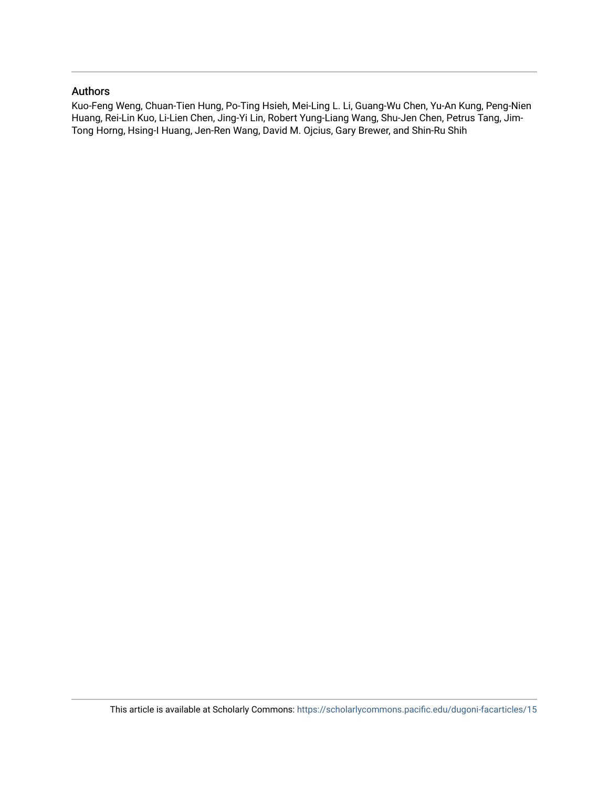# Authors

Kuo-Feng Weng, Chuan-Tien Hung, Po-Ting Hsieh, Mei-Ling L. Li, Guang-Wu Chen, Yu-An Kung, Peng-Nien Huang, Rei-Lin Kuo, Li-Lien Chen, Jing-Yi Lin, Robert Yung-Liang Wang, Shu-Jen Chen, Petrus Tang, Jim-Tong Horng, Hsing-I Huang, Jen-Ren Wang, David M. Ojcius, Gary Brewer, and Shin-Ru Shih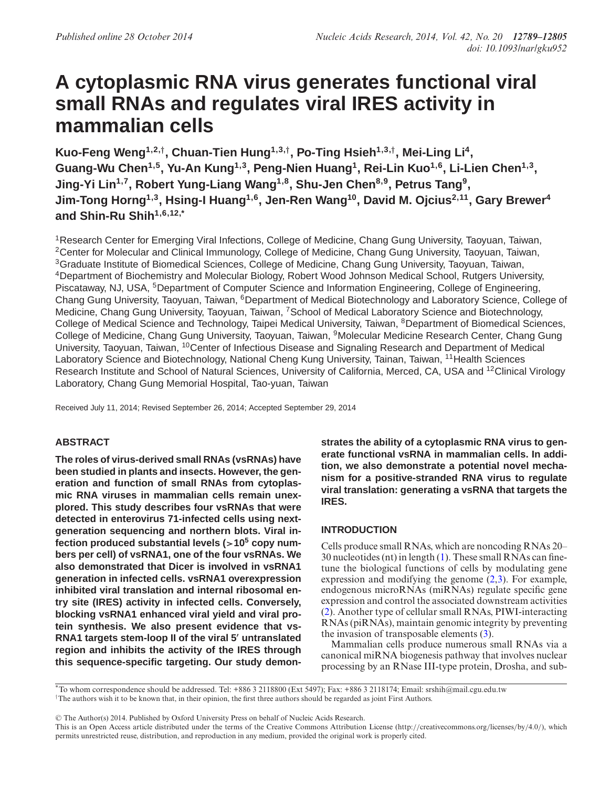# **A cytoplasmic RNA virus generates functional viral small RNAs and regulates viral IRES activity in mammalian cells**

**Kuo-Feng Weng1,2,***†***, Chuan-Tien Hung1,3,***†***, Po-Ting Hsieh1,3,***†***, Mei-Ling Li4, Guang-Wu Chen1,5, Yu-An Kung1,3, Peng-Nien Huang1, Rei-Lin Kuo1,6, Li-Lien Chen1,3, Jing-Yi Lin1,7, Robert Yung-Liang Wang1,8, Shu-Jen Chen8,9, Petrus Tang9,** Jim-Tong Horng<sup>1,3</sup>, Hsing-I Huang<sup>1,6</sup>, Jen-Ren Wang<sup>10</sup>, David M. Ojcius<sup>2,11</sup>, Gary Brewer<sup>4</sup> **and Shin-Ru Shih1,6,12,\***

1Research Center for Emerging Viral Infections, College of Medicine, Chang Gung University, Taoyuan, Taiwan, 2Center for Molecular and Clinical Immunology, College of Medicine, Chang Gung University, Taoyuan, Taiwan, 3Graduate Institute of Biomedical Sciences, College of Medicine, Chang Gung University, Taoyuan, Taiwan, 4Department of Biochemistry and Molecular Biology, Robert Wood Johnson Medical School, Rutgers University, Piscataway, NJ, USA, 5Department of Computer Science and Information Engineering, College of Engineering, Chang Gung University, Taoyuan, Taiwan, 6Department of Medical Biotechnology and Laboratory Science, College of Medicine, Chang Gung University, Taoyuan, Taiwan, 7School of Medical Laboratory Science and Biotechnology, College of Medical Science and Technology, Taipei Medical University, Taiwan, <sup>8</sup>Department of Biomedical Sciences, College of Medicine, Chang Gung University, Taoyuan, Taiwan, 9Molecular Medicine Research Center, Chang Gung University, Taoyuan, Taiwan, 10Center of Infectious Disease and Signaling Research and Department of Medical Laboratory Science and Biotechnology, National Cheng Kung University, Tainan, Taiwan, <sup>11</sup>Health Sciences Research Institute and School of Natural Sciences, University of California, Merced, CA, USA and 12Clinical Virology Laboratory, Chang Gung Memorial Hospital, Tao-yuan, Taiwan

Received July 11, 2014; Revised September 26, 2014; Accepted September 29, 2014

# **ABSTRACT**

**The roles of virus-derived small RNAs (vsRNAs) have been studied in plants and insects. However, the generation and function of small RNAs from cytoplasmic RNA viruses in mammalian cells remain unexplored. This study describes four vsRNAs that were detected in enterovirus 71-infected cells using nextgeneration sequencing and northern blots. Viral infection produced substantial levels (***>***105 copy numbers per cell) of vsRNA1, one of the four vsRNAs. We also demonstrated that Dicer is involved in vsRNA1 generation in infected cells. vsRNA1 overexpression inhibited viral translation and internal ribosomal entry site (IRES) activity in infected cells. Conversely, blocking vsRNA1 enhanced viral yield and viral protein synthesis. We also present evidence that vs-RNA1 targets stem-loop II of the viral 5- untranslated region and inhibits the activity of the IRES through this sequence-specific targeting. Our study demon-** **strates the ability of a cytoplasmic RNA virus to generate functional vsRNA in mammalian cells. In addition, we also demonstrate a potential novel mechanism for a positive-stranded RNA virus to regulate viral translation: generating a vsRNA that targets the IRES.**

# **INTRODUCTION**

Cells produce small RNAs, which are noncoding RNAs 20– 30 nucleotides (nt) in length [\(1\)](#page-16-0). These small RNAs can finetune the biological functions of cells by modulating gene expression and modifying the genome [\(2,3\)](#page-16-0). For example, endogenous microRNAs (miRNAs) regulate specific gene expression and control the associated downstream activities [\(2\)](#page-16-0). Another type of cellular small RNAs, PIWI-interacting RNAs (piRNAs), maintain genomic integrity by preventing the invasion of transposable elements [\(3\)](#page-16-0).

Mammalian cells produce numerous small RNAs via a canonical miRNA biogenesis pathway that involves nuclear processing by an RNase III-type protein, Drosha, and sub-

-<sup>C</sup> The Author(s) 2014. Published by Oxford University Press on behalf of Nucleic Acids Research.

<sup>\*</sup>To whom correspondence should be addressed. Tel: +886 3 2118800 (Ext 5497); Fax: +886 3 2118174; Email: srshih@mail.cgu.edu.tw <sup> $\dagger$ </sup>The authors wish it to be known that, in their opinion, the first three authors should be regarded as joint First Authors.

This is an Open Access article distributed under the terms of the Creative Commons Attribution License (http://creativecommons.org/licenses/by/4.0/), which permits unrestricted reuse, distribution, and reproduction in any medium, provided the original work is properly cited.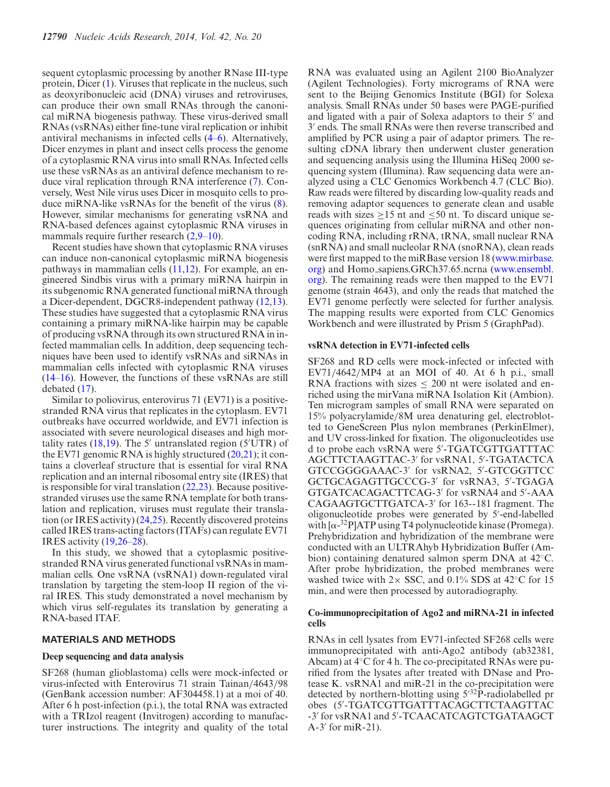sequent cytoplasmic processing by another RNase III-type protein, Dicer [\(1\)](#page-16-0). Viruses that replicate in the nucleus, such as deoxyribonucleic acid (DNA) viruses and retroviruses, can produce their own small RNAs through the canonical miRNA biogenesis pathway. These virus-derived small RNAs (vsRNAs) either fine-tune viral replication or inhibit antiviral mechanisms in infected cells [\(4–6\)](#page-16-0). Alternatively, Dicer enzymes in plant and insect cells process the genome of a cytoplasmic RNA virus into small RNAs. Infected cells use these vsRNAs as an antiviral defence mechanism to reduce viral replication through RNA interference [\(7\)](#page-16-0). Conversely, West Nile virus uses Dicer in mosquito cells to produce miRNA-like vsRNAs for the benefit of the virus [\(8\)](#page-16-0). However, similar mechanisms for generating vsRNA and RNA-based defences against cytoplasmic RNA viruses in mammals require further research  $(2,9-10)$ .

Recent studies have shown that cytoplasmic RNA viruses can induce non-canonical cytoplasmic miRNA biogenesis pathways in mammalian cells [\(11,12\)](#page-16-0). For example, an engineered Sindbis virus with a primary miRNA hairpin in its subgenomic RNA generated functional miRNA through a Dicer-dependent, DGCR8-independent pathway [\(12,13\)](#page-16-0). These studies have suggested that a cytoplasmic RNA virus containing a primary miRNA-like hairpin may be capable of producing vsRNA through its own structured RNA in infected mammalian cells. In addition, deep sequencing techniques have been used to identify vsRNAs and siRNAs in mammalian cells infected with cytoplasmic RNA viruses [\(14–16\)](#page-16-0). However, the functions of these vsRNAs are still debated [\(17\)](#page-16-0).

Similar to poliovirus, enterovirus 71 (EV71) is a positivestranded RNA virus that replicates in the cytoplasm. EV71 outbreaks have occurred worldwide, and EV71 infection is associated with severe neurological diseases and high mortality rates  $(18,19)$ . The 5' untranslated region  $(5'UTR)$  of the EV71 genomic RNA is highly structured  $(20,21)$ ; it contains a cloverleaf structure that is essential for viral RNA replication and an internal ribosomal entry site (IRES) that is responsible for viral translation  $(22,23)$ . Because positivestranded viruses use the same RNA template for both translation and replication, viruses must regulate their translation (or IRES activity) [\(24,25\)](#page-16-0). Recently discovered proteins called IRES trans-acting factors (ITAFs) can regulate EV71 IRES activity [\(19,26–28\)](#page-16-0).

In this study, we showed that a cytoplasmic positivestranded RNA virus generated functional vsRNAs in mammalian cells. One vsRNA (vsRNA1) down-regulated viral translation by targeting the stem-loop II region of the viral IRES. This study demonstrated a novel mechanism by which virus self-regulates its translation by generating a RNA-based ITAF.

#### **MATERIALS AND METHODS**

### **Deep sequencing and data analysis**

SF268 (human glioblastoma) cells were mock-infected or virus-infected with Enterovirus 71 strain Tainan/4643/98 (GenBank accession number: AF304458.1) at a moi of 40. After 6 h post-infection (p.i.), the total RNA was extracted with a TRIzol reagent (Invitrogen) according to manufacturer instructions. The integrity and quality of the total

RNA was evaluated using an Agilent 2100 BioAnalyzer (Agilent Technologies). Forty micrograms of RNA were sent to the Beijing Genomics Institute (BGI) for Solexa analysis. Small RNAs under 50 bases were PAGE-purified and ligated with a pair of Solexa adaptors to their 5' and 3' ends. The small RNAs were then reverse transcribed and amplified by PCR using a pair of adaptor primers. The resulting cDNA library then underwent cluster generation and sequencing analysis using the Illumina HiSeq 2000 sequencing system (Illumina). Raw sequencing data were analyzed using a CLC Genomics Workbench 4.7 (CLC Bio). Raw reads were filtered by discarding low-quality reads and removing adaptor sequences to generate clean and usable reads with sizes ≥15 nt and ≤50 nt. To discard unique sequences originating from cellular miRNA and other noncoding RNA, including rRNA, tRNA, small nuclear RNA (snRNA) and small nucleolar RNA (snoRNA), clean reads [were first mapped to the miRBase version 18 \(www.mirbase.](http://www.mirbase.org) org) and Homo sapiens.GRCh37.65.ncrna (www.ensembl. [org\). The remaining reads were then mapped to the EV71](http://www.ensembl.org) genome (strain 4643), and only the reads that matched the EV71 genome perfectly were selected for further analysis. The mapping results were exported from CLC Genomics Workbench and were illustrated by Prism 5 (GraphPad).

#### **vsRNA detection in EV71-infected cells**

SF268 and RD cells were mock-infected or infected with  $EV71/4642/MP4$  at an MOI of 40. At 6 h p.i., small RNA fractions with sizes  $\leq 200$  nt were isolated and enriched using the mirVana miRNA Isolation Kit (Ambion). Ten microgram samples of small RNA were separated on 15% polyacrylamide/8M urea denaturing gel, electroblotted to GeneScreen Plus nylon membranes (PerkinElmer), and UV cross-linked for fixation. The oligonucleotides use d to probe each vsRNA were 5 -TGATCGTTGATTTAC AGCTTCTAAGTTAC-3' for vsRNA1, 5'-TGATACTCA GTCCGGGGAAAC-3' for vsRNA2, 5'-GTCGGTTCC GCTGCAGAGTTGCCCG-3' for vsRNA3, 5'-TGAGA GTGATCACAGACTTCAG-3' for vsRNA4 and 5'-AAA CAGAAGTGCTTGATCA-3' for 163--181 fragment. The oligonucleotide probes were generated by 5 -end-labelled with  $[\alpha^{-32}P]ATP$  using T4 polynucleotide kinase (Promega). Prehybridization and hybridization of the membrane were conducted with an ULTRAhyb Hybridization Buffer (Ambion) containing denatured salmon sperm DNA at 42◦C. After probe hybridization, the probed membranes were washed twice with  $2 \times$  SSC, and 0.1% SDS at 42°C for 15 min, and were then processed by autoradiography.

## **Co-immunoprecipitation of Ago2 and miRNA-21 in infected cells**

RNAs in cell lysates from EV71-infected SF268 cells were immunoprecipitated with anti-Ago2 antibody (ab32381, Abcam) at 4◦C for 4 h. The co-precipitated RNAs were purified from the lysates after treated with DNase and Protease K. vsRNA1 and miR-21 in the co-precipitation were detected by northern-blotting using  $5^{32}$ P-radiolabelled pr obes (5 -TGATCGTTGATTTACAGCTTCTAAGTTAC -3' for vsRNA1 and 5'-TCAACATCAGTCTGATAAGCT  $A-3'$  for miR-21).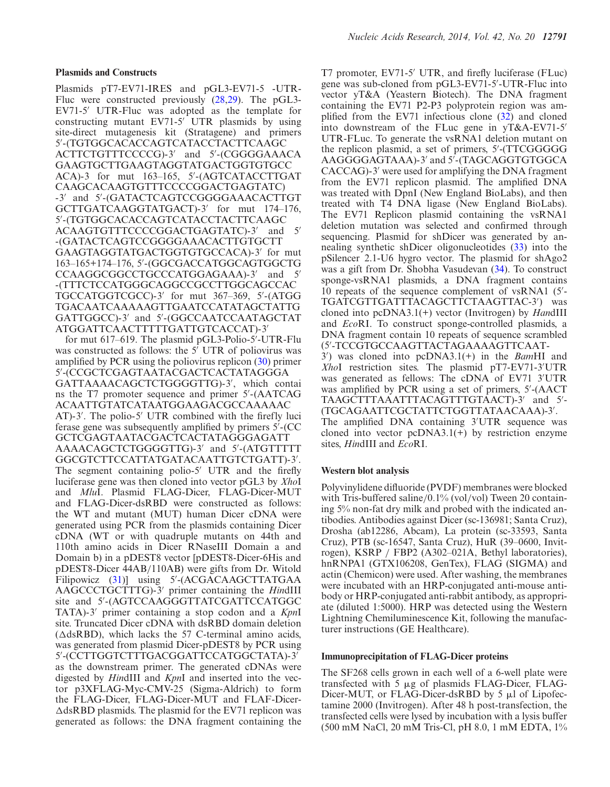## **Plasmids and Constructs**

Plasmids pT7-EV71-IRES and pGL3-EV71-5 -UTR-Fluc were constructed previously [\(28,29\)](#page-16-0). The pGL3- EV71-5' UTR-Fluc was adopted as the template for constructing mutant EV71-5' UTR plasmids by using site-direct mutagenesis kit (Stratagene) and primers 5 -(TGTGGCACACCAGTCATACCTACTTCAAGC ACTTCTGTTTCCCCG)-3 and 5 -(CGGGGAAACA GAAGTGCTTGAAGTAGGTATGACTGGTGTGCC ACA)-3 for mut 163–165, 5 -(AGTCATACCTTGAT CAAGCACAAGTGTTTCCCCGGACTGAGTATC) -3' and 5'-(GATACTCAGTCCGGGGAAACACTTGT GCTTGATCAAGGTATGACT)-3' for mut 174-176, 5 -(TGTGGCACACCAGTCATACCTACTTCAAGC ACAAGTGTTTCCCCGGACTGAGTATC)-3' and 5' -(GATACTCAGTCCGGGGAAACACTTGTGCTT GAAGTAGGTATGACTGGTGTGCCACA)-3' for mut 163–165+174–176, 5 -(GGCGACCATGGCAGTGGCTG CCAAGGCGGCCTGCCCATGGAGAAA)-3' and 5' -(TTTCTCCATGGGCAGGCCGCCTTGGCAGCCAC TGCCATGGTCGCC)-3 for mut 367–369, 5 -(ATGG TGACAATCAAAAAGTTGAATCCATATAGCTATTG GATTGGCC)-3' and 5'-(GGCCAATCCAATAGCTAT ATGGATTCAACTTTTTGATTGTCACCAT)-3

for mut 617–619. The plasmid pGL3-Polio-5 -UTR-Flu was constructed as follows: the  $5'$  UTR of poliovirus was amplified by PCR using the poliovirus replicon [\(30\)](#page-16-0) primer 5 -(CCGCTCGAGTAATACGACTCACTATAGGGA GATTAAAACAGCTCTGGGGTTG)-3 , which contai ns the T7 promoter sequence and primer 5 -(AATCAG ACAATTGTATCATAATGGAAGACGCCAAAAAC AT)-3 . The polio-5 UTR combined with the firefly luci ferase gene was subsequently amplified by primers 5 -(CC GCTCGAGTAATACGACTCACTATAGGGAGATT AAAACAGCTCTGGGGTTG)-3' and 5'-(ATGTTTTT GGCGTCTTCCATTATGATACAATTGTCTGATT)-3 . The segment containing polio-5' UTR and the firefly luciferase gene was then cloned into vector pGL3 by *Xho*I and *Mlu*I. Plasmid FLAG-Dicer, FLAG-Dicer-MUT and FLAG-Dicer-dsRBD were constructed as follows: the WT and mutant (MUT) human Dicer cDNA were generated using PCR from the plasmids containing Dicer cDNA (WT or with quadruple mutants on 44th and 110th amino acids in Dicer RNaseIII Domain a and Domain b) in a pDEST8 vector [pDEST8-Dicer-6His and pDEST8-Dicer 44AB/110AB) were gifts from Dr. Witold Filipowicz [\(31\)](#page-16-0)] using 5'-(ACGACAAGCTTATGAA AAGCCCTGCTTTG)-3 primer containing the *Hin*dIII site and 5 -(AGTCCAAGGGTTATCGATTCCATGGC TATA)-3 primer containing a stop codon and a *Kpn*I site. Truncated Dicer cDNA with dsRBD domain deletion  $(\Delta ds RBD)$ , which lacks the 57 C-terminal amino acids, was generated from plasmid Dicer-pDEST8 by PCR using 5 -(CCTTGGTCTTTGACGGATTCCATGGCTATA)-3 as the downstream primer. The generated cDNAs were digested by *Hin*dIII and *Kpn*I and inserted into the vector p3XFLAG-Myc-CMV-25 (Sigma-Aldrich) to form the FLAG-Dicer, FLAG-Dicer-MUT and FLAF-Dicer-  $\Delta$ dsRBD plasmids. The plasmid for the EV71 replicon was generated as follows: the DNA fragment containing the

T7 promoter, EV71-5' UTR, and firefly luciferase (FLuc) gene was sub-cloned from pGL3-EV71-5'-UTR-Fluc into vector yT&A (Yeastern Biotech). The DNA fragment containing the EV71 P2-P3 polyprotein region was amplified from the EV71 infectious clone [\(32\)](#page-16-0) and cloned into downstream of the FLuc gene in yT&A-EV71-5 UTR-FLuc. To generate the vsRNA1 deletion mutant on the replicon plasmid, a set of primers, 5 -(TTCGGGGG AAGGGGAGTAAA)-3' and 5'-(TAGCAGGTGTGGCA CACCAG)-3' were used for amplifying the DNA fragment from the EV71 replicon plasmid. The amplified DNA was treated with DpnI (New England BioLabs), and then treated with T4 DNA ligase (New England BioLabs). The EV71 Replicon plasmid containing the vsRNA1 deletion mutation was selected and confirmed through sequencing. Plasmid for shDicer was generated by annealing synthetic shDicer oligonucleotides [\(33\)](#page-17-0) into the pSilencer 2.1-U6 hygro vector. The plasmid for shAgo2 was a gift from Dr. Shobha Vasudevan [\(34\)](#page-17-0). To construct sponge-vsRNA1 plasmids, a DNA fragment contains 10 repeats of the sequence complement of vsRNA1 (5 - TGATCGTTGATTTACAGCTTCTAAGTTAC-3 ) was cloned into pcDNA3.1(+) vector (Invitrogen) by *Han*dIII and *Eco*RI. To construct sponge-controlled plasmids, a DNA fragment contain 10 repeats of sequence scrambled (5 -TCCGTGCCAAGTTACTAGAAAAGTTCAAT-3 ) was cloned into pcDNA3.1(+) in the *Bam*HI and *Xho*I restriction sites. The plasmid pT7-EV71-3 UTR was generated as fellows: The cDNA of EV71 3 UTR was amplified by PCR using a set of primers, 5'-(AACT TAAGCTTTAAATTTACAGTTTGTAACT)-3' and 5'-(TGCAGAATTCGCTATTCTGGTTATAACAAA)-3 . The amplified DNA containing 3 UTR sequence was cloned into vector  $pcDNA3.1(+)$  by restriction enzyme sites, *Hin*dIII and *Eco*RI.

#### **Western blot analysis**

Polyvinylidene difluoride (PVDF) membranes were blocked with Tris-buffered saline/0.1% (vol/vol) Tween 20 containing 5% non-fat dry milk and probed with the indicated antibodies. Antibodies against Dicer (sc-136981; Santa Cruz), Drosha (ab12286, Abcam), La protein (sc-33593, Santa Cruz), PTB (sc-16547, Santa Cruz), HuR (39–0600, Invitrogen), KSRP / FBP2 (A302–021A, Bethyl laboratories), hnRNPA1 (GTX106208, GenTex), FLAG (SIGMA) and actin (Chemicon) were used. After washing, the membranes were incubated with an HRP-conjugated anti-mouse antibody or HRP-conjugated anti-rabbit antibody, as appropriate (diluted 1:5000). HRP was detected using the Western Lightning Chemiluminescence Kit, following the manufacturer instructions (GE Healthcare).

### **Immunoprecipitation of FLAG-Dicer proteins**

The SF268 cells grown in each well of a 6-well plate were transfected with  $5 \mu g$  of plasmids FLAG-Dicer, FLAG-Dicer-MUT, or FLAG-Dicer-dsRBD by  $5 \mu l$  of Lipofectamine 2000 (Invitrogen). After 48 h post-transfection, the transfected cells were lysed by incubation with a lysis buffer (500 mM NaCl, 20 mM Tris-Cl, pH 8.0, 1 mM EDTA, 1%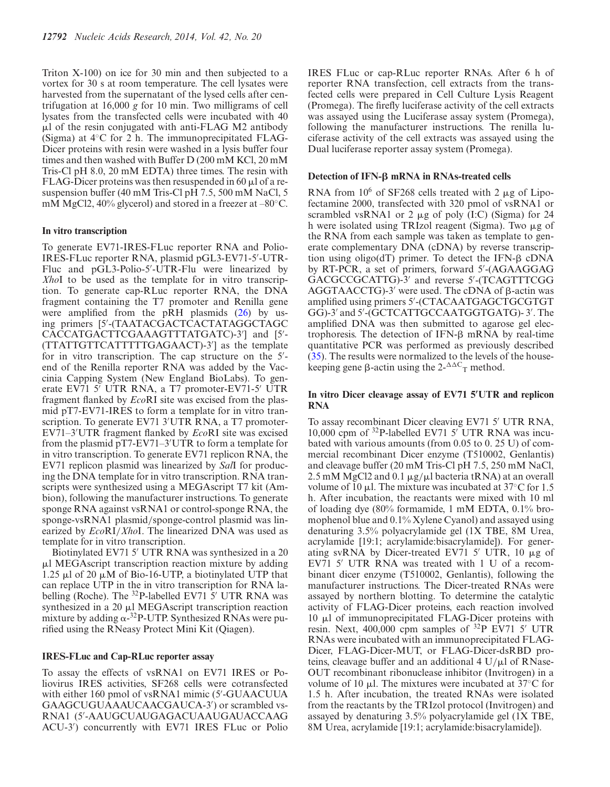Triton X-100) on ice for 30 min and then subjected to a vortex for 30 s at room temperature. The cell lysates were harvested from the supernatant of the lysed cells after centrifugation at 16,000 *g* for 10 min. Two milligrams of cell lysates from the transfected cells were incubated with 40  $\mu$ l of the resin conjugated with anti-FLAG M2 antibody (Sigma) at 4◦C for 2 h. The immunoprecipitated FLAG-Dicer proteins with resin were washed in a lysis buffer four times and then washed with Buffer D (200 mM KCl, 20 mM Tris-Cl pH 8.0, 20 mM EDTA) three times. The resin with FLAG-Dicer proteins was then resuspended in 60  $\mu$ l of a resuspension buffer (40 mM Tris-Cl pH 7.5, 500 mM NaCl, 5 mM MgCl2, 40% glycerol) and stored in a freezer at –80 $^{\circ}$ C.

#### **In vitro transcription**

To generate EV71-IRES-FLuc reporter RNA and Polio-IRES-FLuc reporter RNA, plasmid pGL3-EV71-5 -UTR-Fluc and pGL3-Polio-5'-UTR-Flu were linearized by *Xho*I to be used as the template for in vitro transcription. To generate cap-RLuc reporter RNA, the DNA fragment containing the T7 promoter and Renilla gene were amplified from the pRH plasmids [\(26\)](#page-16-0) by using primers [5 -(TAATACGACTCACTATAGGCTAGC CACCATGACTTCGAAAGTTTATGATC)-3 ] and [5 - (TTATTGTTCATTTTTGAGAACT)-3 ] as the template for in vitro transcription. The cap structure on the 5'end of the Renilla reporter RNA was added by the Vaccinia Capping System (New England BioLabs). To generate EV71 5' UTR RNA, a T7 promoter-EV71-5' UTR fragment flanked by *Eco*RI site was excised from the plasmid pT7-EV71-IRES to form a template for in vitro transcription. To generate EV71 3 UTR RNA, a T7 promoter-EV71–3 UTR fragment flanked by *Eco*RI site was excised from the plasmid pT7-EV71–3 UTR to form a template for in vitro transcription. To generate EV71 replicon RNA, the EV71 replicon plasmid was linearized by *Sal*I for producing the DNA template for in vitro transcription. RNA transcripts were synthesized using a MEGAscript T7 kit (Ambion), following the manufacturer instructions. To generate sponge RNA against vsRNA1 or control-sponge RNA, the sponge-vsRNA1 plasmid/sponge-control plasmid was linearized by *Eco*RI/*Xho*I. The linearized DNA was used as template for in vitro transcription.

Biotinylated EV71 5' UTR RNA was synthesized in a 20  $\mu$ l MEGAscript transcription reaction mixture by adding 1.25  $\mu$ l of 20  $\mu$ M of Bio-16-UTP, a biotinylated UTP that can replace UTP in the in vitro transcription for RNA labelling (Roche). The  $^{32}P$ -labelled EV71 5' UTR RNA was synthesized in a 20  $\mu$ l MEGAscript transcription reaction mixture by adding  $\alpha$ -<sup>32</sup>P-UTP. Synthesized RNAs were purified using the RNeasy Protect Mini Kit (Qiagen).

### **IRES-FLuc and Cap-RLuc reporter assay**

To assay the effects of vsRNA1 on EV71 IRES or Poliovirus IRES activities, SF268 cells were cotransfected with either 160 pmol of vsRNA1 mimic (5 -GUAACUUA GAAGCUGUAAAUCAACGAUCA-3 ) or scrambled vs-RNA1 (5 -AAUGCUAUGAGACUAAUGAUACCAAG ACU-3 ) concurrently with EV71 IRES FLuc or Polio

IRES FLuc or cap-RLuc reporter RNAs. After 6 h of reporter RNA transfection, cell extracts from the transfected cells were prepared in Cell Culture Lysis Reagent (Promega). The firefly luciferase activity of the cell extracts was assayed using the Luciferase assay system (Promega), following the manufacturer instructions. The renilla luciferase activity of the cell extracts was assayed using the Dual luciferase reporter assay system (Promega).

## $\Delta$  Detection of IFN- $\beta$  mRNA in RNAs-treated cells

RNA from  $10^6$  of SF268 cells treated with 2  $\mu$ g of Lipofectamine 2000, transfected with 320 pmol of vsRNA1 or scrambled vsRNA1 or 2  $\mu$ g of poly (I:C) (Sigma) for 24 h were isolated using TRIzol reagent (Sigma). Two  $\mu$ g of the RNA from each sample was taken as template to generate complementary DNA (cDNA) by reverse transcription using oligo( $dT$ ) primer. To detect the IFN- $\beta$  cDNA by RT-PCR, a set of primers, forward 5 -(AGAAGGAG GACGCCGCATTG)-3' and reverse 5'-(TCAGTTTCGG  $AGGTAACCTG$ -3' were used. The cDNA of  $\beta$ -actin was amplified using primers 5 -(CTACAATGAGCTGCGTGT GG)-3' and 5'-(GCTCATTGCCAATGGTGATG)-3'. The amplified DNA was then submitted to agarose gel electrophoresis. The detection of IFN- $\beta$  mRNA by real-time quantitative PCR was performed as previously described [\(35\)](#page-17-0). The results were normalized to the levels of the housekeeping gene  $\beta$ -actin using the 2- $\Delta \Delta C$ <sub>T</sub> method.

# In vitro Dicer cleavage assay of EV71 5'UTR and replicon **RNA**

To assay recombinant Dicer cleaving EV71 5' UTR RNA, 10,000 cpm of  $32P$ -labelled EV71 5' UTR RNA was incubated with various amounts (from 0.05 to 0. 25 U) of commercial recombinant Dicer enzyme (T510002, Genlantis) and cleavage buffer (20 mM Tris-Cl pH 7.5, 250 mM NaCl, 2.5 mM MgCl2 and 0.1  $\mu$ g/ $\mu$ l bacteria tRNA) at an overall volume of 10  $\mu$ l. The mixture was incubated at 37°C for 1.5 h. After incubation, the reactants were mixed with 10 ml of loading dye (80% formamide, 1 mM EDTA, 0.1% bromophenol blue and 0.1% Xylene Cyanol) and assayed using denaturing 3.5% polyacrylamide gel (1X TBE, 8M Urea, acrylamide [19:1; acrylamide:bisacrylamide]). For generating svRNA by Dicer-treated EV71 5' UTR, 10  $\mu$ g of EV71 5' UTR RNA was treated with 1 U of a recombinant dicer enzyme (T510002, Genlantis), following the manufacturer instructions. The Dicer-treated RNAs were assayed by northern blotting. To determine the catalytic activity of FLAG-Dicer proteins, each reaction involved  $10 \mu l$  of immunoprecipitated FLAG-Dicer proteins with resin. Next,  $400,000$  cpm samples of  $32P$  EV71 5' UTR RNAs were incubated with an immunoprecipitated FLAG-Dicer, FLAG-Dicer-MUT, or FLAG-Dicer-dsRBD proteins, cleavage buffer and an additional 4  $U/\mu$ l of RNase-OUT recombinant ribonuclease inhibitor (Invitrogen) in a volume of 10  $\mu$ . The mixtures were incubated at 37 $\degree$ C for 1.5 h. After incubation, the treated RNAs were isolated from the reactants by the TRIzol protocol (Invitrogen) and assayed by denaturing 3.5% polyacrylamide gel (1X TBE, 8M Urea, acrylamide [19:1; acrylamide:bisacrylamide]).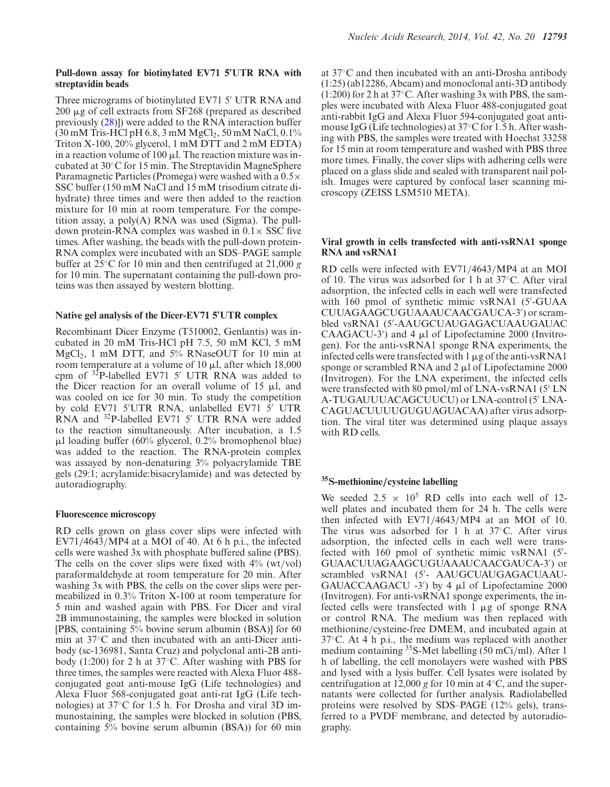## **Pull-down assay for biotinylated EV71 5- UTR RNA with streptavidin beads**

Three micrograms of biotinylated EV71 5' UTR RNA and  $200 \mu$ g of cell extracts from SF268 (prepared as described previously [\(28\)](#page-16-0)]) were added to the RNA interaction buffer  $(30 \text{ mM Tris-HCl pH } 6.8, 3 \text{ mM MgCl}_2, 50 \text{ mM NaCl}, 0.1\%$ Triton X-100, 20% glycerol, 1 mM DTT and 2 mM EDTA) in a reaction volume of 100  $\mu$ . The reaction mixture was incubated at 30◦C for 15 min. The Streptavidin MagneSphere Paramagnetic Particles (Promega) were washed with a 0.5× SSC buffer (150 mM NaCl and 15 mM trisodium citrate dihydrate) three times and were then added to the reaction mixture for 10 min at room temperature. For the competition assay, a  $poly(A)$  RNA was used (Sigma). The pulldown protein-RNA complex was washed in  $0.1 \times$  SSC five times. After washing, the beads with the pull-down protein-RNA complex were incubated with an SDS–PAGE sample buffer at 25◦C for 10 min and then centrifuged at 21,000 *g* for 10 min. The supernatant containing the pull-down proteins was then assayed by western blotting.

# **Native gel analysis of the Dicer-EV71 5- UTR complex**

Recombinant Dicer Enzyme (T510002, Genlantis) was incubated in 20 mM Tris-HCl pH 7.5, 50 mM KCl, 5 mM MgCl<sub>2</sub>, 1 mM DTT, and 5% RNaseOUT for 10 min at room temperature at a volume of 10  $\mu$ l, after which 18,000 cpm of  $3\overline{2}P$ -labelled EV71 5' UTR RNA was added to the Dicer reaction for an overall volume of  $15 \mu l$ , and was cooled on ice for 30 min. To study the competition by cold EV71 5'UTR RNA, unlabelled EV71 5' UTR  $RNA$  and <sup>32</sup>P-labelled EV71 5' UTR RNA were added to the reaction simultaneously. After incubation, a 1.5  $\mu$ l loading buffer (60% glycerol, 0.2% bromophenol blue) was added to the reaction. The RNA-protein complex was assayed by non-denaturing 3% polyacrylamide TBE gels (29:1; acrylamide:bisacrylamide) and was detected by autoradiography.

# **Fluorescence microscopy**

RD cells grown on glass cover slips were infected with EV71/4643/MP4 at a MOI of 40. At 6 h p.i., the infected cells were washed 3x with phosphate buffered saline (PBS). The cells on the cover slips were fixed with  $4\%$  (wt/vol) paraformaldehyde at room temperature for 20 min. After washing 3x with PBS, the cells on the cover slips were permeabilized in 0.3% Triton X-100 at room temperature for 5 min and washed again with PBS. For Dicer and viral 2B immunostaining, the samples were blocked in solution [PBS, containing 5% bovine serum albumin (BSA)] for 60 min at 37◦C and then incubated with an anti-Dicer antibody (sc-136981, Santa Cruz) and polyclonal anti-2B antibody (1:200) for 2 h at 37◦C. After washing with PBS for three times, the samples were reacted with Alexa Fluor 488 conjugated goat anti-mouse IgG (Life technologies) and Alexa Fluor 568-conjugated goat anti-rat IgG (Life technologies) at 37◦C for 1.5 h. For Drosha and viral 3D immunostaining, the samples were blocked in solution (PBS, containing 5% bovine serum albumin (BSA)) for 60 min at 37◦C and then incubated with an anti-Drosha antibody (1:25) (ab12286, Abcam) and monoclonal anti-3D antibody  $(1:200)$  for 2 h at 37 $\degree$ C. After washing 3x with PBS, the samples were incubated with Alexa Fluor 488-conjugated goat anti-rabbit IgG and Alexa Fluor 594-conjugated goat antimouse IgG (Life technologies) at 37◦C for 1.5 h. After washing with PBS, the samples were treated with Hoechst 33258 for 15 min at room temperature and washed with PBS three more times. Finally, the cover slips with adhering cells were placed on a glass slide and sealed with transparent nail polish. Images were captured by confocal laser scanning microscopy (ZEISS LSM510 META).

# **Viral growth in cells transfected with anti-vsRNA1 sponge RNA and vsRNA1**

RD cells were infected with EV71/4643/MP4 at an MOI of 10. The virus was adsorbed for 1 h at 37◦C. After viral adsorption, the infected cells in each well were transfected with 160 pmol of synthetic mimic vsRNA1 (5'-GUAA CUUAGAAGCUGUAAAUCAACGAUCA-3 ) or scrambled vsRNA1 (5 -AAUGCUAUGAGACUAAUGAUAC CAAGACU-3 $'$ ) and 4  $\mu$ l of Lipofectamine 2000 (Invitrogen). For the anti-vsRNA1 sponge RNA experiments, the infected cells were transfected with  $1 \mu$ g of the anti-vsRNA1 sponge or scrambled RNA and  $2 \mu$ l of Lipofectamine 2000 (Invitrogen). For the LNA experiment, the infected cells were transfected with 80 pmol/ml of LNA-vsRNA1 (5' LN A-TUGAUUUACAGCUUCU) or LNA-control (5' LNA-CAGUACUUUUGUGUAGUACAA) after virus adsorption. The viral titer was determined using plaque assays with RD cells.

# **35S-methionine***/***cysteine labelling**

We seeded  $2.5 \times 10^5$  RD cells into each well of 12well plates and incubated them for 24 h. The cells were then infected with EV71/4643/MP4 at an MOI of 10. The virus was adsorbed for 1 h at 37◦C. After virus adsorption, the infected cells in each well were transfected with 160 pmol of synthetic mimic vsRNA1 (5'-GUAACUUAGAAGCUGUAAAUCAACGAUCA-3 ) or scrambled vsRNA1 (5 - AAUGCUAUGAGACUAAU-GAUACCAAGACU  $-3'$  by 4  $\mu$ l of Lipofectamine 2000 (Invitrogen). For anti-vsRNA1 sponge experiments, the infected cells were transfected with  $1 \mu g$  of sponge RNA or control RNA. The medium was then replaced with methionine/cysteine-free DMEM, and incubated again at  $37^{\circ}$ C. At 4 h p.i., the medium was replaced with another medium containing <sup>35</sup>S-Met labelling (50 mCi/ml). After 1 h of labelling, the cell monolayers were washed with PBS and lysed with a lysis buffer. Cell lysates were isolated by centrifugation at 12,000 *g* for 10 min at 4◦C, and the supernatants were collected for further analysis. Radiolabelled proteins were resolved by SDS–PAGE (12% gels), transferred to a PVDF membrane, and detected by autoradiography.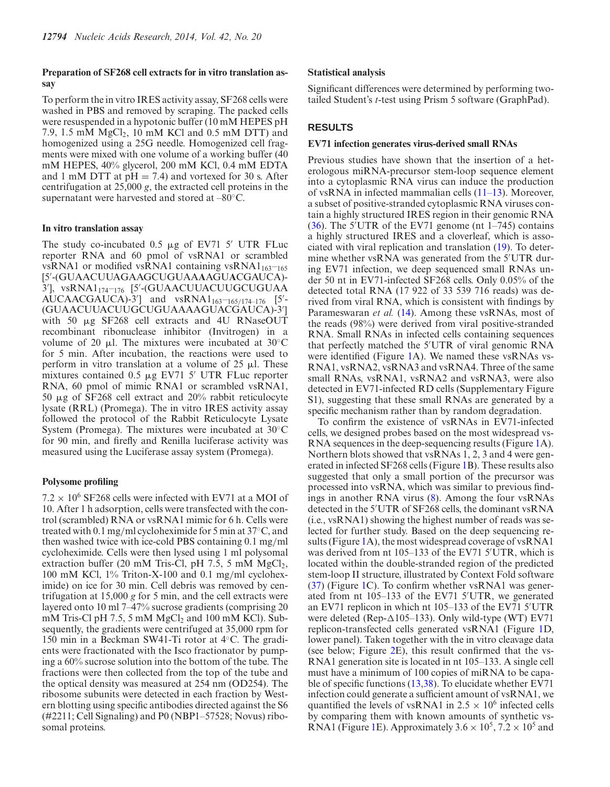# **Preparation of SF268 cell extracts for in vitro translation assay**

To perform the in vitro IRES activity assay, SF268 cells were washed in PBS and removed by scraping. The packed cells were resuspended in a hypotonic buffer (10 mM HEPES pH 7.9, 1.5 mM  $MgCl<sub>2</sub>$ , 10 mM KCl and 0.5 mM DTT) and homogenized using a 25G needle. Homogenized cell fragments were mixed with one volume of a working buffer (40 mM HEPES, 40% glycerol, 200 mM KCl, 0.4 mM EDTA and 1 mM DTT at  $pH = 7.4$ ) and vortexed for 30 s. After centrifugation at 25,000 *g*, the extracted cell proteins in the supernatant were harvested and stored at –80◦C.

# **In vitro translation assay**

The study co-incubated  $0.5 \mu g$  of EV71 5' UTR FLuc reporter RNA and 60 pmol of vsRNA1 or scrambled vsRNA1 or modified vsRNA1 containing vsRNA1 $_{163-165}$ [5 -(GUAACUUAGAAGCUGUAA**A**AGU**A**CGAUCA)- 3 ], vsRNA1174–176 [5 -(GUAACUUACUUGCUGUAA AUCAACGAUCA)-3'] and  $vsRNA1_{163-165/174-176}$  [5'-(GUAACUUACUUGCUGUAAAAGUACGAUCA)-3 ] with 50  $\mu$ g SF268 cell extracts and 4U RNaseOUT recombinant ribonuclease inhibitor (Invitrogen) in a volume of 20  $\mu$ l. The mixtures were incubated at 30°C for 5 min. After incubation, the reactions were used to perform in vitro translation at a volume of  $25 \mu$ . These mixtures contained  $0.5 \mu$ g EV71 5' UTR FLuc reporter RNA, 60 pmol of mimic RNA1 or scrambled vsRNA1, 50  $\mu$ g of SF268 cell extract and 20% rabbit reticulocyte lysate (RRL) (Promega). The in vitro IRES activity assay followed the protocol of the Rabbit Reticulocyte Lysate System (Promega). The mixtures were incubated at 30◦C for 90 min, and firefly and Renilla luciferase activity was measured using the Luciferase assay system (Promega).

# **Polysome profiling**

 $7.2 \times 10^6$  SF268 cells were infected with EV71 at a MOI of 10. After 1 h adsorption, cells were transfected with the control (scrambled) RNA or vsRNA1 mimic for 6 h. Cells were treated with 0.1 mg/ml cycloheximide for 5 min at 37◦C, and then washed twice with ice-cold PBS containing 0.1 mg/ml cycloheximide. Cells were then lysed using 1 ml polysomal extraction buffer (20 mM Tris-Cl, pH 7.5, 5 mM  $MgCl<sub>2</sub>$ , 100 mM KCl, 1% Triton-X-100 and 0.1 mg/ml cycloheximide) on ice for 30 min. Cell debris was removed by centrifugation at 15,000 *g* for 5 min, and the cell extracts were layered onto 10 ml 7–47% sucrose gradients (comprising 20 mM Tris-Cl pH 7.5, 5 mM  $MgCl<sub>2</sub>$  and 100 mM KCl). Subsequently, the gradients were centrifuged at 35,000 rpm for 150 min in a Beckman SW41-Ti rotor at 4◦C. The gradients were fractionated with the Isco fractionator by pumping a 60% sucrose solution into the bottom of the tube. The fractions were then collected from the top of the tube and the optical density was measured at 254 nm (OD254). The ribosome subunits were detected in each fraction by Western blotting using specific antibodies directed against the S6 (#2211; Cell Signaling) and P0 (NBP1–57528; Novus) ribosomal proteins.

# **Statistical analysis**

Significant differences were determined by performing twotailed Student's *t*-test using Prism 5 software (GraphPad).

# **RESULTS**

# **EV71 infection generates virus-derived small RNAs**

Previous studies have shown that the insertion of a heterologous miRNA-precursor stem-loop sequence element into a cytoplasmic RNA virus can induce the production of vsRNA in infected mammalian cells [\(11–13\)](#page-16-0). Moreover, a subset of positive-stranded cytoplasmic RNA viruses contain a highly structured IRES region in their genomic RNA [\(36\)](#page-17-0). The 5 UTR of the EV71 genome (nt 1–745) contains a highly structured IRES and a cloverleaf, which is associated with viral replication and translation [\(19\)](#page-16-0). To determine whether vsRNA was generated from the 5'UTR during EV71 infection, we deep sequenced small RNAs under 50 nt in EV71-infected SF268 cells. Only 0.05% of the detected total RNA (17 922 of 33 539 716 reads) was derived from viral RNA, which is consistent with findings by Parameswaran *et al.* [\(14\)](#page-16-0). Among these vsRNAs, most of the reads (98%) were derived from viral positive-stranded RNA. Small RNAs in infected cells containing sequences that perfectly matched the 5 UTR of viral genomic RNA were identified (Figure [1A](#page-8-0)). We named these vsRNAs vs-RNA1, vsRNA2, vsRNA3 and vsRNA4. Three of the same small RNAs, vsRNA1, vsRNA2 and vsRNA3, were also detected in EV71-infected RD cells (Supplementary Figure S1), suggesting that these small RNAs are generated by a specific mechanism rather than by random degradation.

To confirm the existence of vsRNAs in EV71-infected cells, we designed probes based on the most widespread vs-RNA sequences in the deep-sequencing results (Figure [1A](#page-8-0)). Northern blots showed that vsRNAs 1, 2, 3 and 4 were generated in infected SF268 cells (Figure [1B](#page-8-0)). These results also suggested that only a small portion of the precursor was processed into vsRNA, which was similar to previous findings in another RNA virus [\(8\)](#page-16-0). Among the four vsRNAs detected in the 5 UTR of SF268 cells, the dominant vsRNA (i.e., vsRNA1) showing the highest number of reads was selected for further study. Based on the deep sequencing re-sults (Figure [1A](#page-8-0)), the most widespread coverage of vsRNA1 was derived from nt 105–133 of the EV71 5 UTR, which is located within the double-stranded region of the predicted stem-loop II structure, illustrated by Context Fold software [\(37\)](#page-17-0) (Figure [1C](#page-8-0)). To confirm whether vsRNA1 was generated from nt 105–133 of the EV71 5 UTR, we generated an EV71 replicon in which nt 105–133 of the EV71 5 UTR were deleted (Rep- $\Delta$ 105–133). Only wild-type (WT) EV71 replicon-transfected cells generated vsRNA1 (Figure [1D](#page-8-0), lower panel). Taken together with the in vitro cleavage data (see below; Figure [2E](#page-9-0)), this result confirmed that the vs-RNA1 generation site is located in nt 105–133. A single cell must have a minimum of 100 copies of miRNA to be capable of specific functions [\(13,](#page-16-0)[38\)](#page-17-0). To elucidate whether EV71 infection could generate a sufficient amount of vsRNA1, we quantified the levels of vsRNA1 in  $2.5 \times 10^6$  infected cells by comparing them with known amounts of synthetic vs-RNA1 (Figure [1E](#page-8-0)). Approximately  $3.6 \times 10^5$ ,  $7.2 \times 10^5$  and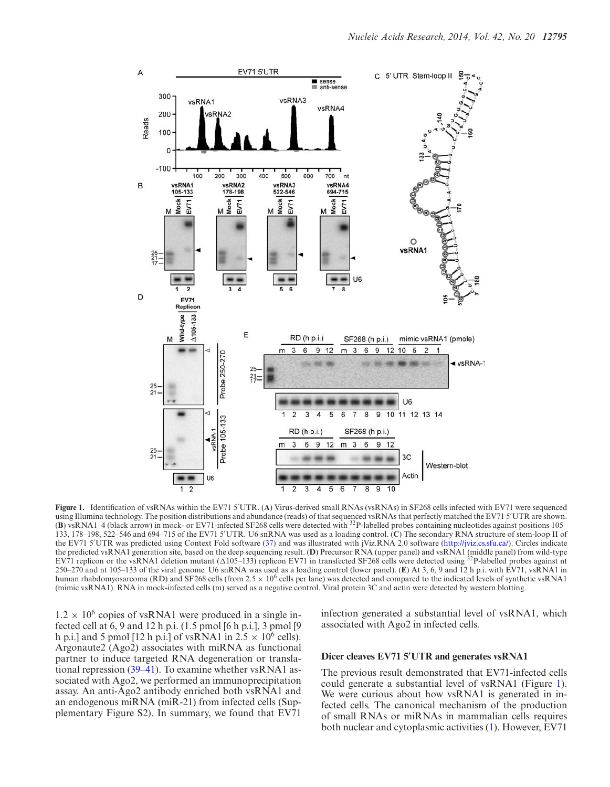<span id="page-8-0"></span>

**Figure 1.** Identification of vsRNAs within the EV71 5 UTR. (**A**) Virus-derived small RNAs (vsRNAs) in SF268 cells infected with EV71 were sequenced using Illumina technology. The position distributions and abundance (reads) of that sequenced vsRNAs that perfectly matched the EV71 5 UTR are shown. (**B**) vsRNA1–4 (black arrow) in mock- or EV71-infected SF268 cells were detected with 32P-labelled probes containing nucleotides against positions 105– 133, 178–198, 522–546 and 694–715 of the EV71 5 UTR. U6 snRNA was used as a loading control. (**C**) The secondary RNA structure of stem-loop II of the EV71 5 UTR was predicted using Context Fold software [\(37\)](#page-17-0) and was illustrated with jViz.RNA 2.0 software [\(http://jviz.cs.sfu.ca/\)](http://jviz.cs.sfu.ca/). Circles indicate the predicted vsRNA1 generation site, based on the deep sequencing result. (**D**) Precursor RNA (upper panel) and vsRNA1 (middle panel) from wild-type EV71 replicon or the vsRNA1 deletion mutant  $(\Delta 105-133)$  replicon EV71 in transfected SF268 cells were detected using <sup>32</sup>P-labelled probes against nt 250–270 and nt 105–133 of the viral genome. U6 snRNA was used as a loading control (lower panel). (**E**) At 3, 6, 9 and 12 h p.i. with EV71, vsRNA1 in human rhabdomyosarcoma (RD) and SF268 cells (from 2.5  $\times$  10<sup>6</sup> cells per lane) was detected and compared to the indicated levels of synthetic vsRNA1 (mimic vsRNA1). RNA in mock-infected cells (m) served as a negative control. Viral protein 3C and actin were detected by western blotting.

 $1.2 \times 10^6$  copies of vsRNA1 were produced in a single infected cell at  $6, 9$  and  $12$  h p.i.  $(1.5 \text{ pmol } 6 \text{ h p.i.}], 3 \text{ pmol } 9$ h p.i.] and 5 pmol [12 h p.i.] of vsRNA1 in  $2.5 \times 10^6$  cells). Argonaute2 (Ago2) associates with miRNA as functional partner to induce targeted RNA degeneration or translational repression [\(39–41\)](#page-17-0). To examine whether vsRNA1 associated with Ago2, we performed an immunoprecipitation assay. An anti-Ago2 antibody enriched both vsRNA1 and an endogenous miRNA (miR-21) from infected cells (Supplementary Figure S2). In summary, we found that EV71

infection generated a substantial level of vsRNA1, which associated with Ago2 in infected cells.

#### Dicer cleaves EV71 5'UTR and generates vsRNA1

The previous result demonstrated that EV71-infected cells could generate a substantial level of vsRNA1 (Figure 1). We were curious about how vsRNA1 is generated in infected cells. The canonical mechanism of the production of small RNAs or miRNAs in mammalian cells requires both nuclear and cytoplasmic activities [\(1\)](#page-16-0). However, EV71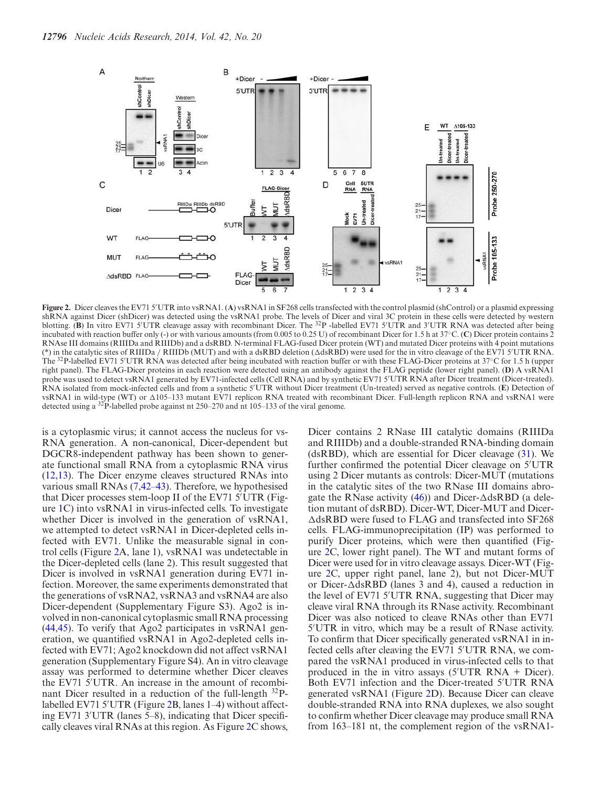<span id="page-9-0"></span>

**Figure 2.** Dicer cleaves the EV71 5 UTR into vsRNA1. (**A**) vsRNA1 in SF268 cells transfected with the control plasmid (shControl) or a plasmid expressing shRNA against Dicer (shDicer) was detected using the vsRNA1 probe. The levels of Dicer and viral 3C protein in these cells were detected by western blotting. (B) In vitro EV71 5'UTR cleavage assay with recombinant Dicer. The <sup>32</sup>P -labelled EV71 5'UTR and 3'UTR RNA was detected after being incubated with reaction buffer only (-) or with various amounts (from 0.005 to 0.25 U) of recombinant Dicer for 1.5 h at 37◦C. (**C**) Dicer protein contains 2 RNAse III domains (RIIIDa and RIIIDb) and a dsRBD. N-terminal FLAG-fused Dicer protein (WT) and mutated Dicer proteins with 4 point mutations (\*) in the catalytic sites of RIIIDa / RIIIDb (MUT) and with a dsRBD deletion ( $\Delta$ dsRBD) were used for the in vitro cleavage of the EV71 5'UTR RNA. The <sup>32</sup>P-labelled EV71 5'UTR RNA was detected after being incubated with reaction buffer or with these FLAG-Dicer proteins at 37°C for 1.5 h (upper right panel). The FLAG-Dicer proteins in each reaction were detected using an antibody against the FLAG peptide (lower right panel). (**D**) A vsRNA1 probe was used to detect vsRNA1 generated by EV71-infected cells (Cell RNA) and by synthetic EV71 5 UTR RNA after Dicer treatment (Dicer-treated). RNA isolated from mock-infected cells and from a synthetic 5 UTR without Dicer treatment (Un-treated) served as negative controls. (**E**) Detection of vsRNA1 in wild-type (WT) or  $\Delta 105-133$  mutant EV71 replicon RNA treated with recombinant Dicer. Full-length replicon RNA and vsRNA1 were detected using a 32P-labelled probe against nt 250–270 and nt 105–133 of the viral genome.

is a cytoplasmic virus; it cannot access the nucleus for vs-RNA generation. A non-canonical, Dicer-dependent but DGCR8-independent pathway has been shown to generate functional small RNA from a cytoplasmic RNA virus [\(12,13\)](#page-16-0). The Dicer enzyme cleaves structured RNAs into various small RNAs [\(7,](#page-16-0)[42–43\)](#page-17-0). Therefore, we hypothesised that Dicer processes stem-loop II of the EV71 5 UTR (Figure [1C](#page-8-0)) into vsRNA1 in virus-infected cells. To investigate whether Dicer is involved in the generation of vsRNA1, we attempted to detect vsRNA1 in Dicer-depleted cells infected with EV71. Unlike the measurable signal in control cells (Figure 2A, lane 1), vsRNA1 was undetectable in the Dicer-depleted cells (lane 2). This result suggested that Dicer is involved in vsRNA1 generation during EV71 infection. Moreover, the same experiments demonstrated that the generations of vsRNA2, vsRNA3 and vsRNA4 are also Dicer-dependent (Supplementary Figure S3). Ago2 is involved in non-canonical cytoplasmic small RNA processing [\(44,45\)](#page-17-0). To verify that Ago2 participates in vsRNA1 generation, we quantified vsRNA1 in Ago2-depleted cells infected with EV71; Ago2 knockdown did not affect vsRNA1 generation (Supplementary Figure S4). An in vitro cleavage assay was performed to determine whether Dicer cleaves the EV71 5 UTR. An increase in the amount of recombinant Dicer resulted in a reduction of the full-length  $^{32}P$ labelled EV71 5 UTR (Figure 2B, lanes 1–4) without affecting EV71 3 UTR (lanes 5–8), indicating that Dicer specifically cleaves viral RNAs at this region. As Figure 2C shows,

Dicer contains 2 RNase III catalytic domains (RIIIDa and RIIIDb) and a double-stranded RNA-binding domain (dsRBD), which are essential for Dicer cleavage [\(31\)](#page-16-0). We further confirmed the potential Dicer cleavage on 5 UTR using 2 Dicer mutants as controls: Dicer-MUT (mutations in the catalytic sites of the two RNase III domains abrogate the RNase activity  $(46)$ ) and Dicer- $\triangle$ dsRBD (a deletion mutant of dsRBD). Dicer-WT, Dicer-MUT and Dicer-  $\triangle$ dsRBD were fused to FLAG and transfected into SF268 cells. FLAG-immunoprecipitation (IP) was performed to purify Dicer proteins, which were then quantified (Figure 2C, lower right panel). The WT and mutant forms of Dicer were used for in vitro cleavage assays. Dicer-WT (Figure 2C, upper right panel, lane 2), but not Dicer-MUT or Dicer- $\triangle$ dsRBD (lanes 3 and 4), caused a reduction in the level of EV71 5 UTR RNA, suggesting that Dicer may cleave viral RNA through its RNase activity. Recombinant Dicer was also noticed to cleave RNAs other than EV71 5 UTR in vitro, which may be a result of RNase activity. To confirm that Dicer specifically generated vsRNA1 in infected cells after cleaving the EV71 5 UTR RNA, we compared the vsRNA1 produced in virus-infected cells to that produced in the in vitro assays (5 UTR RNA + Dicer). Both EV71 infection and the Dicer-treated 5 UTR RNA generated vsRNA1 (Figure 2D). Because Dicer can cleave double-stranded RNA into RNA duplexes, we also sought to confirm whether Dicer cleavage may produce small RNA from 163–181 nt, the complement region of the vsRNA1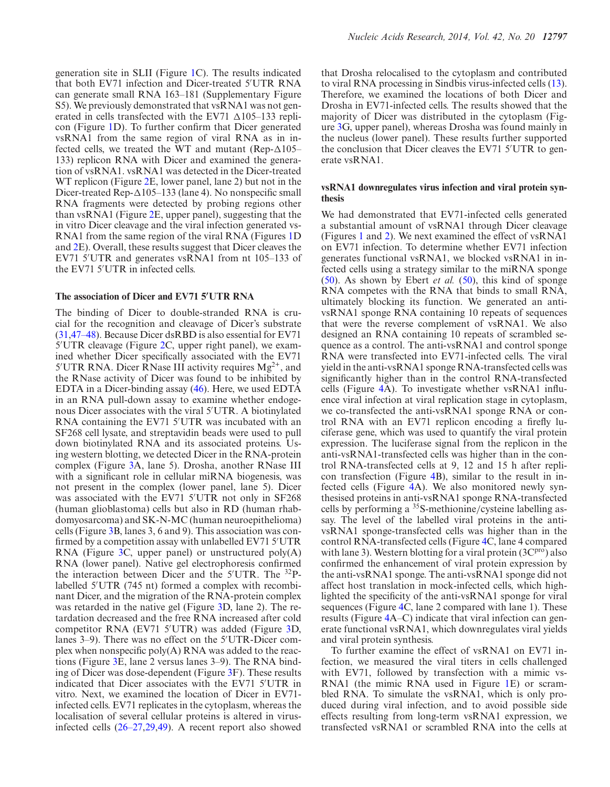generation site in SLII (Figure [1C](#page-8-0)). The results indicated that both EV71 infection and Dicer-treated 5 UTR RNA can generate small RNA 163–181 (Supplementary Figure S5). We previously demonstrated that vsRNA1 was not generated in cells transfected with the EV71  $\Delta$ 105–133 replicon (Figure [1D](#page-8-0)). To further confirm that Dicer generated vsRNA1 from the same region of viral RNA as in infected cells, we treated the WT and mutant (Rep- $\Delta 105-$ 133) replicon RNA with Dicer and examined the generation of vsRNA1. vsRNA1 was detected in the Dicer-treated WT replicon (Figure [2E](#page-9-0), lower panel, lane 2) but not in the Dicer-treated Rep- $\Delta 105-133$  (lane 4). No nonspecific small RNA fragments were detected by probing regions other than vsRNA1 (Figure [2E](#page-9-0), upper panel), suggesting that the in vitro Dicer cleavage and the viral infection generated vs-RNA1 from the same region of the viral RNA (Figures [1D](#page-8-0) and [2E](#page-9-0)). Overall, these results suggest that Dicer cleaves the EV71 5 UTR and generates vsRNA1 from nt 105–133 of

# **The association of Dicer and EV71 5'UTR RNA**

the EV71 5 UTR in infected cells.

The binding of Dicer to double-stranded RNA is crucial for the recognition and cleavage of Dicer's substrate [\(31,](#page-16-0)[47–48\)](#page-17-0). Because Dicer dsRBD is also essential for EV71 5 UTR cleavage (Figure [2C](#page-9-0), upper right panel), we examined whether Dicer specifically associated with the EV71 5'UTR RNA. Dicer RNase III activity requires  $Mg^{2+}$ , and the RNase activity of Dicer was found to be inhibited by EDTA in a Dicer-binding assay [\(46\)](#page-17-0). Here, we used EDTA in an RNA pull-down assay to examine whether endogenous Dicer associates with the viral 5 UTR. A biotinylated RNA containing the EV71 5 UTR was incubated with an SF268 cell lysate, and streptavidin beads were used to pull down biotinylated RNA and its associated proteins. Using western blotting, we detected Dicer in the RNA-protein complex (Figure [3A](#page-11-0), lane 5). Drosha, another RNase III with a significant role in cellular miRNA biogenesis, was not present in the complex (lower panel, lane 5). Dicer was associated with the EV71 5 UTR not only in SF268 (human glioblastoma) cells but also in RD (human rhabdomyosarcoma) and SK-N-MC (human neuroepithelioma) cells (Figure [3B](#page-11-0), lanes 3, 6 and 9). This association was confirmed by a competition assay with unlabelled EV71 5'UTR RNA (Figure [3C](#page-11-0), upper panel) or unstructured poly(A) RNA (lower panel). Native gel electrophoresis confirmed the interaction between Dicer and the 5 UTR. The 32Plabelled 5 UTR (745 nt) formed a complex with recombinant Dicer, and the migration of the RNA-protein complex was retarded in the native gel (Figure [3D](#page-11-0), lane 2). The retardation decreased and the free RNA increased after cold competitor RNA (EV71 5'UTR) was added (Figure [3D](#page-11-0), lanes 3–9). There was no effect on the 5 UTR-Dicer complex when nonspecific poly(A) RNA was added to the reactions (Figure [3E](#page-11-0), lane 2 versus lanes 3–9). The RNA binding of Dicer was dose-dependent (Figure [3F](#page-11-0)). These results indicated that Dicer associates with the EV71 5 UTR in vitro. Next, we examined the location of Dicer in EV71 infected cells. EV71 replicates in the cytoplasm, whereas the localisation of several cellular proteins is altered in virusinfected cells [\(26–27,29,](#page-16-0)[49\)](#page-17-0). A recent report also showed that Drosha relocalised to the cytoplasm and contributed to viral RNA processing in Sindbis virus-infected cells [\(13\)](#page-16-0). Therefore, we examined the locations of both Dicer and Drosha in EV71-infected cells. The results showed that the majority of Dicer was distributed in the cytoplasm (Figure [3G](#page-11-0), upper panel), whereas Drosha was found mainly in the nucleus (lower panel). These results further supported the conclusion that Dicer cleaves the EV71 5 UTR to generate vsRNA1.

## **vsRNA1 downregulates virus infection and viral protein synthesis**

We had demonstrated that EV71-infected cells generated a substantial amount of vsRNA1 through Dicer cleavage (Figures [1](#page-8-0) and [2\)](#page-9-0). We next examined the effect of vsRNA1 on EV71 infection. To determine whether EV71 infection generates functional vsRNA1, we blocked vsRNA1 in infected cells using a strategy similar to the miRNA sponge [\(50\)](#page-17-0). As shown by Ebert *et al.* [\(50\)](#page-17-0), this kind of sponge RNA competes with the RNA that binds to small RNA, ultimately blocking its function. We generated an antivsRNA1 sponge RNA containing 10 repeats of sequences that were the reverse complement of vsRNA1. We also designed an RNA containing 10 repeats of scrambled sequence as a control. The anti-vsRNA1 and control sponge RNA were transfected into EV71-infected cells. The viral yield in the anti-vsRNA1 sponge RNA-transfected cells was significantly higher than in the control RNA-transfected cells (Figure [4A](#page-12-0)). To investigate whether vsRNA1 influence viral infection at viral replication stage in cytoplasm, we co-transfected the anti-vsRNA1 sponge RNA or control RNA with an EV71 replicon encoding a firefly luciferase gene, which was used to quantify the viral protein expression. The luciferase signal from the replicon in the anti-vsRNA1-transfected cells was higher than in the control RNA-transfected cells at 9, 12 and 15 h after replicon transfection (Figure [4B](#page-12-0)), similar to the result in infected cells (Figure [4A](#page-12-0)). We also monitored newly synthesised proteins in anti-vsRNA1 sponge RNA-transfected cells by performing a 35S-methionine/cysteine labelling assay. The level of the labelled viral proteins in the antivsRNA1 sponge-transfected cells was higher than in the control RNA-transfected cells (Figure [4C](#page-12-0), lane 4 compared with lane 3). Western blotting for a viral protein  $(3C<sup>pro</sup>)$  also confirmed the enhancement of viral protein expression by the anti-vsRNA1 sponge. The anti-vsRNA1 sponge did not affect host translation in mock-infected cells, which highlighted the specificity of the anti-vsRNA1 sponge for viral sequences (Figure [4C](#page-12-0), lane 2 compared with lane 1). These results (Figure [4A](#page-12-0)–C) indicate that viral infection can generate functional vsRNA1, which downregulates viral yields and viral protein synthesis.

To further examine the effect of vsRNA1 on EV71 infection, we measured the viral titers in cells challenged with EV71, followed by transfection with a mimic vs-RNA1 (the mimic RNA used in Figure [1E](#page-8-0)) or scrambled RNA. To simulate the vsRNA1, which is only produced during viral infection, and to avoid possible side effects resulting from long-term vsRNA1 expression, we transfected vsRNA1 or scrambled RNA into the cells at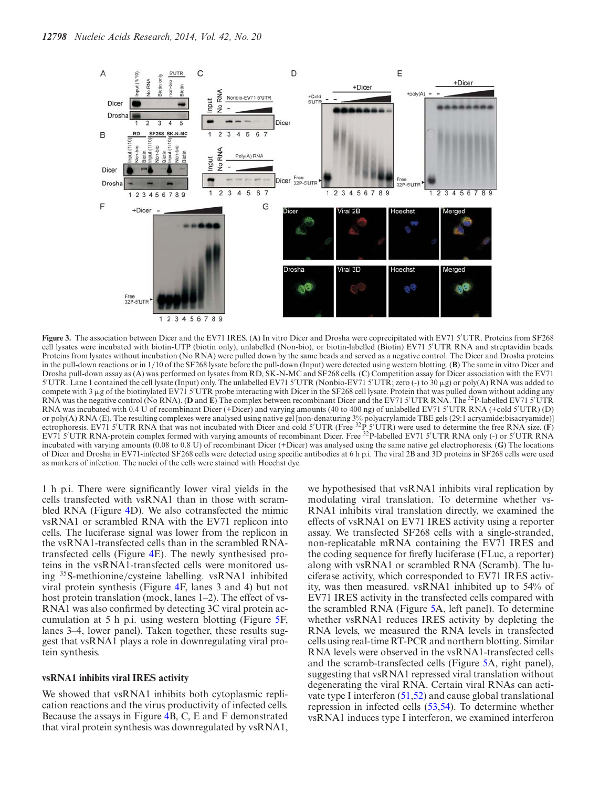<span id="page-11-0"></span>

**Figure 3.** The association between Dicer and the EV71 IRES. (**A**) In vitro Dicer and Drosha were coprecipitated with EV71 5 UTR. Proteins from SF268 cell lysates were incubated with biotin-UTP (biotin only), unlabelled (Non-bio), or biotin-labelled (Biotin) EV71 5 UTR RNA and streptavidin beads. Proteins from lysates without incubation (No RNA) were pulled down by the same beads and served as a negative control. The Dicer and Drosha proteins in the pull-down reactions or in 1/10 of the SF268 lysate before the pull-down (Input) were detected using western blotting. (**B**) The same in vitro Dicer and Drosha pull-down assay as (A) was performed on lysates from RD, SK-N-MC and SF268 cells. (**C**) Competition assay for Dicer association with the EV71 5'UTR. Lane 1 contained the cell lysate (Input) only. The unlabelled EV71 5'UTR (Nonbio-EV71 5'UTR; zero (-) to 30 μg) or poly(A) RNA was added to compete with 3 µg of the biotinylated EV71 5'UTR probe interacting with Dicer in the SF268 cell lysate. Protein that was pulled down without adding any RNA was the negative control (No RNA). (**D** and **E**) The complex between recombinant Dicer and the EV71 5'UTR RNA. The <sup>32</sup>P-labelled EV71 5'UTR RNA was incubated with 0.4 U of recombinant Dicer (+Dicer) and varying amounts (40 to 400 ng) of unlabelled EV71 5'UTR RNA (+cold 5'UTR) (D) or poly(A) RNA (E). The resulting complexes were analysed using native gel [non-denaturing 3% polyacrylamide TBE gels (29:1 acryamide:bisacryamide)] ectrophoresis. EV71 5'UTR RNA that was not incubated with Dicer and cold 5'UTR (Free <sup>32</sup>P 5'UTR) were used to determine the free RNA size. (F) EV7I 5'UTR RNA-protein complex formed with varying amounts of recombinant Dicer. Free <sup>32</sup>P-labelled EV71 5'UTR RNA only (-) or 5'UTR RNA incubated with varying amounts (0.08 to 0.8 U) of recombinant Dicer (+Dicer) was analysed using the same native gel electrophoresis. (**G**) The locations of Dicer and Drosha in EV71-infected SF268 cells were detected using specific antibodies at 6 h p.i. The viral 2B and 3D proteins in SF268 cells were used as markers of infection. The nuclei of the cells were stained with Hoechst dye.

1 h p.i. There were significantly lower viral yields in the cells transfected with vsRNA1 than in those with scrambled RNA (Figure [4D](#page-12-0)). We also cotransfected the mimic vsRNA1 or scrambled RNA with the EV71 replicon into cells. The luciferase signal was lower from the replicon in the vsRNA1-transfected cells than in the scrambled RNAtransfected cells (Figure [4E](#page-12-0)). The newly synthesised proteins in the vsRNA1-transfected cells were monitored using 35S-methionine/cysteine labelling. vsRNA1 inhibited viral protein synthesis (Figure [4F](#page-12-0), lanes 3 and 4) but not host protein translation (mock, lanes 1–2). The effect of vs-RNA1 was also confirmed by detecting 3C viral protein accumulation at 5 h p.i. using western blotting (Figure [5F](#page-13-0), lanes 3–4, lower panel). Taken together, these results suggest that vsRNA1 plays a role in downregulating viral protein synthesis.

#### **vsRNA1 inhibits viral IRES activity**

We showed that vsRNA1 inhibits both cytoplasmic replication reactions and the virus productivity of infected cells. Because the assays in Figure [4B](#page-12-0), C, E and F demonstrated that viral protein synthesis was downregulated by vsRNA1,

we hypothesised that vsRNA1 inhibits viral replication by modulating viral translation. To determine whether vs-RNA1 inhibits viral translation directly, we examined the effects of vsRNA1 on EV71 IRES activity using a reporter assay. We transfected SF268 cells with a single-stranded, non-replicatable mRNA containing the EV71 IRES and the coding sequence for firefly luciferase (FLuc, a reporter) along with vsRNA1 or scrambled RNA (Scramb). The luciferase activity, which corresponded to EV71 IRES activity, was then measured. vsRNA1 inhibited up to 54% of EV71 IRES activity in the transfected cells compared with the scrambled RNA (Figure [5A](#page-13-0), left panel). To determine whether vsRNA1 reduces IRES activity by depleting the RNA levels, we measured the RNA levels in transfected cells using real-time RT-PCR and northern blotting. Similar RNA levels were observed in the vsRNA1-transfected cells and the scramb-transfected cells (Figure [5A](#page-13-0), right panel), suggesting that vsRNA1 repressed viral translation without degenerating the viral RNA. Certain viral RNAs can activate type I interferon [\(51,52\)](#page-17-0) and cause global translational repression in infected cells [\(53,54\)](#page-17-0). To determine whether vsRNA1 induces type I interferon, we examined interferon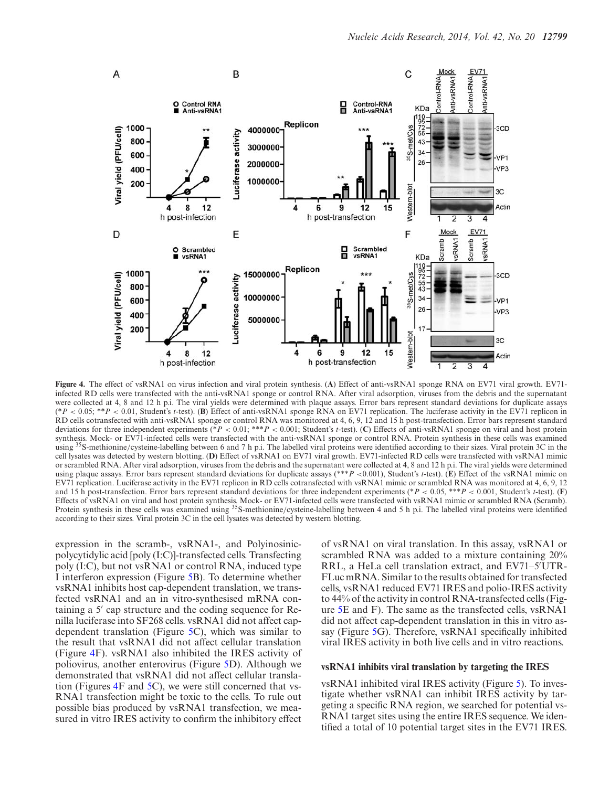<span id="page-12-0"></span>

**Figure 4.** The effect of vsRNA1 on virus infection and viral protein synthesis. (**A**) Effect of anti-vsRNA1 sponge RNA on EV71 viral growth. EV71 infected RD cells were transfected with the anti-vsRNA1 sponge or control RNA. After viral adsorption, viruses from the debris and the supernatant were collected at 4, 8 and 12 h p.i. The viral yields were determined with plaque assays. Error bars represent standard deviations for duplicate assays (\**P* < 0.05; \*\**P* < 0.01, Student's *t*-test). (**B**) Effect of anti-vsRNA1 sponge RNA on EV71 replication. The luciferase activity in the EV71 replicon in RD cells cotransfected with anti-vsRNA1 sponge or control RNA was monitored at 4, 6, 9, 12 and 15 h post-transfection. Error bars represent standard deviations for three independent experiments (\**P* < 0.01; \*\*\**P* < 0.001; Student's *t*-test). (**C**) Effects of anti-vsRNA1 sponge on viral and host protein synthesis. Mock- or EV71-infected cells were transfected with the anti-vsRNA1 sponge or control RNA. Protein synthesis in these cells was examined using <sup>35</sup>S-methionine/cysteine-labelling between 6 and 7 h p.i. The labelled viral proteins were identified according to their sizes. Viral protein 3C in the cell lysates was detected by western blotting. (**D**) Effect of vsRNA1 on EV71 viral growth. EV71-infected RD cells were transfected with vsRNA1 mimic or scrambled RNA. After viral adsorption, viruses from the debris and the supernatant were collected at 4, 8 and 12 h p.i. The viral yields were determined using plaque assays. Error bars represent standard deviations for duplicate assays (\*\*\**P* <0.001), Student's *t*-test). (**E**) Effect of the vsRNA1 mimic on EV71 replication. Luciferase activity in the EV71 replicon in RD cells cotransfected with vsRNA1 mimic or scrambled RNA was monitored at 4, 6, 9, 12 and 15 h post-transfection. Error bars represent standard deviations for three independent experiments (\**P* < 0.05, \*\*\**P* < 0.001, Student's *t*-test). (**F**) Effects of vsRNA1 on viral and host protein synthesis. Mock- or EV71-infected cells were transfected with vsRNA1 mimic or scrambled RNA (Scramb). Protein synthesis in these cells was examined using <sup>35</sup>S-methionine/cysteine-labelling between 4 and 5 h p.i. The labelled viral proteins were identified according to their sizes. Viral protein 3C in the cell lysates was detected by western blotting.

expression in the scramb-, vsRNA1-, and Polyinosinicpolycytidylic acid [poly (I:C)]-transfected cells. Transfecting poly (I:C), but not vsRNA1 or control RNA, induced type I interferon expression (Figure [5B](#page-13-0)). To determine whether vsRNA1 inhibits host cap-dependent translation, we transfected vsRNA1 and an in vitro-synthesised mRNA containing a 5' cap structure and the coding sequence for Renilla luciferase into SF268 cells. vsRNA1 did not affect capdependent translation (Figure [5C](#page-13-0)), which was similar to the result that vsRNA1 did not affect cellular translation (Figure 4F). vsRNA1 also inhibited the IRES activity of poliovirus, another enterovirus (Figure [5D](#page-13-0)). Although we demonstrated that vsRNA1 did not affect cellular translation (Figures 4F and [5C](#page-13-0)), we were still concerned that vs-RNA1 transfection might be toxic to the cells. To rule out possible bias produced by vsRNA1 transfection, we measured in vitro IRES activity to confirm the inhibitory effect of vsRNA1 on viral translation. In this assay, vsRNA1 or scrambled RNA was added to a mixture containing 20% RRL, a HeLa cell translation extract, and EV71–5 UTR-FLuc mRNA. Similar to the results obtained for transfected cells, vsRNA1 reduced EV71 IRES and polio-IRES activity to 44% of the activity in control RNA-transfected cells (Figure [5E](#page-13-0) and F). The same as the transfected cells, vsRNA1 did not affect cap-dependent translation in this in vitro assay (Figure [5G](#page-13-0)). Therefore, vsRNA1 specifically inhibited viral IRES activity in both live cells and in vitro reactions.

## **vsRNA1 inhibits viral translation by targeting the IRES**

vsRNA1 inhibited viral IRES activity (Figure [5\)](#page-13-0). To investigate whether vsRNA1 can inhibit IRES activity by targeting a specific RNA region, we searched for potential vs-RNA1 target sites using the entire IRES sequence. We identified a total of 10 potential target sites in the EV71 IRES.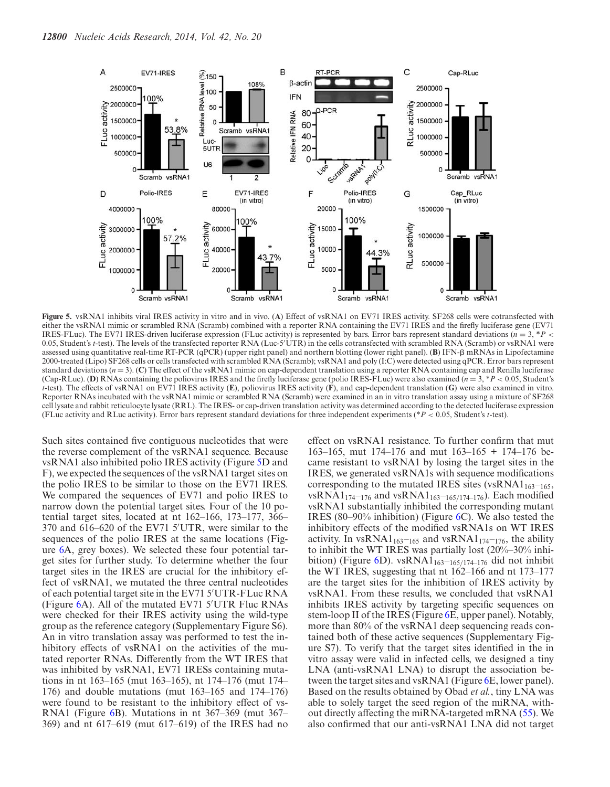<span id="page-13-0"></span>

**Figure 5.** vsRNA1 inhibits viral IRES activity in vitro and in vivo. (**A**) Effect of vsRNA1 on EV71 IRES activity. SF268 cells were cotransfected with either the vsRNA1 mimic or scrambled RNA (Scramb) combined with a reporter RNA containing the EV71 IRES and the firefly luciferase gene (EV71 IRES-FLuc). The EV71 IRES-driven luciferase expression (FLuc activity) is represented by bars. Error bars represent standard deviations ( $n = 3$ ,  $*P$  < 0.05, Student's *t*-test). The levels of the transfected reporter RNA (Luc-5 UTR) in the cells cotransfected with scrambled RNA (Scramb) or vsRNA1 were assessed using quantitative real-time RT-PCR (qPCR) (upper right panel) and northern blotting (lower right panel). (**B**) IFN- $\beta$  mRNAs in Lipofectamine 2000-treated (Lipo) SF268 cells or cells transfected with scrambled RNA (Scramb); vsRNA1 and poly (I:C) were detected using qPCR. Error bars represent standard deviations  $(n = 3)$ . (C) The effect of the vsRNA1 mimic on cap-dependent translation using a reporter RNA containing cap and Renilla luciferase (Cap-RLuc). **(D)** RNAs containing the poliovirus IRES and the firefly luciferase gene (polio IRES-FLuc) were also examined  $(n = 3, *P < 0.05,$  Student's *t*-test). The effects of vsRNA1 on EV71 IRES activity (**E**), poliovirus IRES activity (**F**), and cap-dependent translation (**G**) were also examined in vitro. Reporter RNAs incubated with the vsRNA1 mimic or scrambled RNA (Scramb) were examined in an in vitro translation assay using a mixture of SF268 cell lysate and rabbit reticulocyte lysate (RRL). The IRES- or cap-driven translation activity was determined according to the detected luciferase expression (FLuc activity and RLuc activity). Error bars represent standard deviations for three independent experiments (\**P* < 0.05, Student's *t*-test).

Such sites contained five contiguous nucleotides that were the reverse complement of the vsRNA1 sequence. Because vsRNA1 also inhibited polio IRES activity (Figure 5D and F), we expected the sequences of the vsRNA1 target sites on the polio IRES to be similar to those on the EV71 IRES. We compared the sequences of EV71 and polio IRES to narrow down the potential target sites. Four of the 10 potential target sites, located at nt 162–166, 173–177, 366– 370 and 616–620 of the EV71 5 UTR, were similar to the sequences of the polio IRES at the same locations (Figure [6A](#page-14-0), grey boxes). We selected these four potential target sites for further study. To determine whether the four target sites in the IRES are crucial for the inhibitory effect of vsRNA1, we mutated the three central nucleotides of each potential target site in the EV71 5 UTR-FLuc RNA (Figure [6A](#page-14-0)). All of the mutated EV71 5 UTR Fluc RNAs were checked for their IRES activity using the wild-type group as the reference category (Supplementary Figure S6). An in vitro translation assay was performed to test the inhibitory effects of vsRNA1 on the activities of the mutated reporter RNAs. Differently from the WT IRES that was inhibited by vsRNA1, EV71 IRESs containing mutations in nt 163–165 (mut 163–165), nt 174–176 (mut 174– 176) and double mutations (mut 163–165 and 174–176) were found to be resistant to the inhibitory effect of vs-RNA1 (Figure [6B](#page-14-0)). Mutations in nt 367–369 (mut 367– 369) and nt 617–619 (mut 617–619) of the IRES had no effect on vsRNA1 resistance. To further confirm that mut 163–165, mut 174–176 and mut 163–165 + 174–176 became resistant to vsRNA1 by losing the target sites in the IRES, we generated vsRNA1s with sequence modifications corresponding to the mutated IRES sites (vsRNA $1_{163-165}$ , vsRNA1<sub>174</sub>–<sub>176</sub> and vsRNA1<sub>163</sub>–<sub>165/174–176</sub>). Each modified vsRNA1 substantially inhibited the corresponding mutant IRES (80–90% inhibition) (Figure [6C](#page-14-0)). We also tested the inhibitory effects of the modified vsRNA1s on WT IRES activity. In vsRNA1<sub>163</sub>–<sub>165</sub> and vsRNA1<sub>174</sub>–<sub>176</sub>, the ability to inhibit the WT IRES was partially lost (20%–30% inhi-bition) (Figure [6D](#page-14-0)). vsRNA1<sub>163</sub>–<sub>165/174–176</sub> did not inhibit the WT IRES, suggesting that nt 162–166 and nt 173–177 are the target sites for the inhibition of IRES activity by vsRNA1. From these results, we concluded that vsRNA1 inhibits IRES activity by targeting specific sequences on stem-loop II of the IRES (Figure [6E](#page-14-0), upper panel). Notably, more than 80% of the vsRNA1 deep sequencing reads contained both of these active sequences (Supplementary Figure S7). To verify that the target sites identified in the in vitro assay were valid in infected cells, we designed a tiny LNA (anti-vsRNA1 LNA) to disrupt the association between the target sites and vsRNA1 (Figure [6E](#page-14-0), lower panel). Based on the results obtained by Obad *et al.*, tiny LNA was able to solely target the seed region of the miRNA, without directly affecting the miRNA-targeted mRNA [\(55\)](#page-17-0). We also confirmed that our anti-vsRNA1 LNA did not target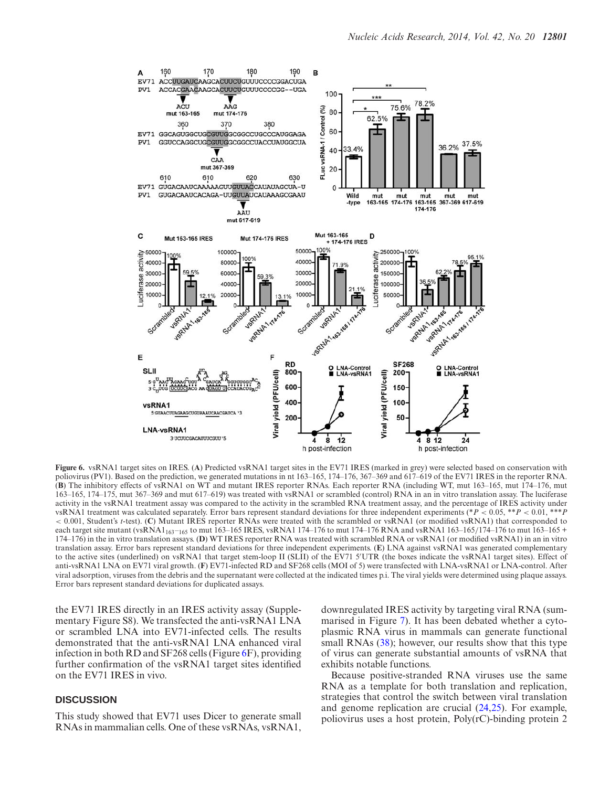<span id="page-14-0"></span>

**Figure 6.** vsRNA1 target sites on IRES. (**A**) Predicted vsRNA1 target sites in the EV71 IRES (marked in grey) were selected based on conservation with poliovirus (PV1). Based on the prediction, we generated mutations in nt 163–165, 174–176, 367–369 and 617–619 of the EV71 IRES in the reporter RNA. (**B**) The inhibitory effects of vsRNA1 on WT and mutant IRES reporter RNAs. Each reporter RNA (including WT, mut 163–165, mut 174–176, mut 163–165, 174–175, mut 367–369 and mut 617–619) was treated with vsRNA1 or scrambled (control) RNA in an in vitro translation assay. The luciferase activity in the vsRNA1 treatment assay was compared to the activity in the scrambled RNA treatment assay, and the percentage of IRES activity under vsRNA1 treatment was calculated separately. Error bars represent standard deviations for three independent experiments (\**P* < 0.05, \*\**P* < 0.01, \*\*\**P* < 0.001, Student's *t*-test). (**C**) Mutant IRES reporter RNAs were treated with the scrambled or vsRNA1 (or modified vsRNA1) that corresponded to each target site mutant (vsRNA1<sub>163</sub>-1<sub>65</sub> to mut 163-165 IRES, vsRNA1 174-176 to mut 174-176 RNA and vsRNA1 163-165/174-176 to mut 163-165 + 174–176) in the in vitro translation assays. (**D**) WT IRES reporter RNA was treated with scrambled RNA or vsRNA1 (or modified vsRNA1) in an in vitro translation assay. Error bars represent standard deviations for three independent experiments. (**E**) LNA against vsRNA1 was generated complementary to the active sites (underlined) on vsRNA1 that target stem-loop II (SLII) of the EV71 5 UTR (the boxes indicate the vsRNA1 target sites). Effect of anti-vsRNA1 LNA on EV71 viral growth. (**F**) EV71-infected RD and SF268 cells (MOI of 5) were transfected with LNA-vsRNA1 or LNA-control. After viral adsorption, viruses from the debris and the supernatant were collected at the indicated times p.i. The viral yields were determined using plaque assays. Error bars represent standard deviations for duplicated assays.

the EV71 IRES directly in an IRES activity assay (Supplementary Figure S8). We transfected the anti-vsRNA1 LNA or scrambled LNA into EV71-infected cells. The results demonstrated that the anti-vsRNA1 LNA enhanced viral infection in both RD and SF268 cells (Figure 6F), providing further confirmation of the vsRNA1 target sites identified on the EV71 IRES in vivo.

## **DISCUSSION**

This study showed that EV71 uses Dicer to generate small RNAs in mammalian cells. One of these vsRNAs, vsRNA1, downregulated IRES activity by targeting viral RNA (summarised in Figure [7\)](#page-15-0). It has been debated whether a cytoplasmic RNA virus in mammals can generate functional small RNAs [\(38\)](#page-17-0); however, our results show that this type of virus can generate substantial amounts of vsRNA that exhibits notable functions.

Because positive-stranded RNA viruses use the same RNA as a template for both translation and replication, strategies that control the switch between viral translation and genome replication are crucial [\(24,25\)](#page-16-0). For example, poliovirus uses a host protein, Poly(rC)-binding protein 2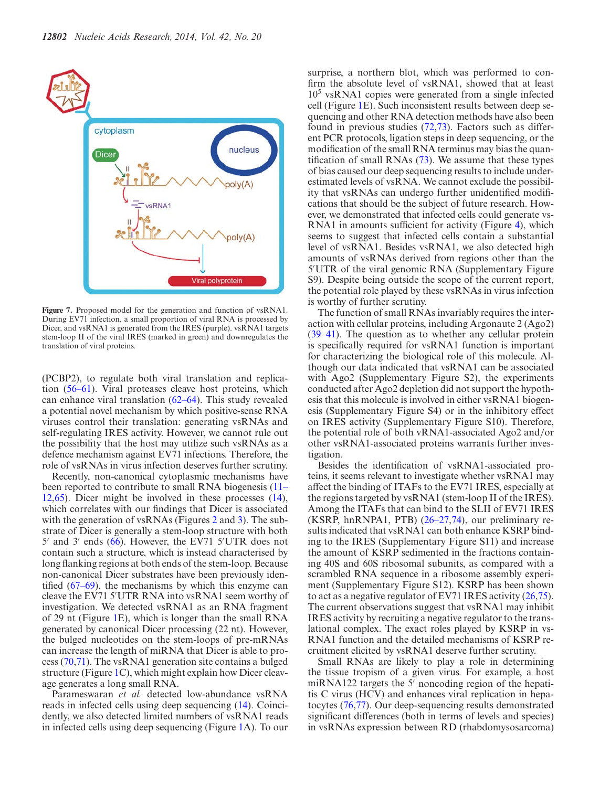<span id="page-15-0"></span>

**Figure 7.** Proposed model for the generation and function of vsRNA1. During EV71 infection, a small proportion of viral RNA is processed by Dicer, and vsRNA1 is generated from the IRES (purple). vsRNA1 targets stem-loop II of the viral IRES (marked in green) and downregulates the translation of viral proteins.

(PCBP2), to regulate both viral translation and replication [\(56–61\)](#page-17-0). Viral proteases cleave host proteins, which can enhance viral translation [\(62–64\)](#page-17-0). This study revealed a potential novel mechanism by which positive-sense RNA viruses control their translation: generating vsRNAs and self-regulating IRES activity. However, we cannot rule out the possibility that the host may utilize such vsRNAs as a defence mechanism against EV71 infections. Therefore, the role of vsRNAs in virus infection deserves further scrutiny.

Recently, non-canonical cytoplasmic mechanisms have been reported to contribute to small RNA biogenesis (11– [12,65\). Dicer might be involved in these processes \(14\),](#page-16-0) which correlates with our findings that Dicer is associated with the generation of vsRNAs (Figures [2](#page-9-0) and [3\)](#page-11-0). The substrate of Dicer is generally a stem-loop structure with both  $5'$  and  $3'$  ends [\(66\)](#page-17-0). However, the EV71  $5'$ UTR does not contain such a structure, which is instead characterised by long flanking regions at both ends of the stem-loop. Because non-canonical Dicer substrates have been previously identified [\(67–69\)](#page-17-0), the mechanisms by which this enzyme can cleave the EV71 5 UTR RNA into vsRNA1 seem worthy of investigation. We detected vsRNA1 as an RNA fragment of 29 nt (Figure [1E](#page-8-0)), which is longer than the small RNA generated by canonical Dicer processing (22 nt). However, the bulged nucleotides on the stem-loops of pre-mRNAs can increase the length of miRNA that Dicer is able to process [\(70,71\)](#page-17-0). The vsRNA1 generation site contains a bulged structure (Figure [1C](#page-8-0)), which might explain how Dicer cleavage generates a long small RNA.

Parameswaran *et al.* detected low-abundance vsRNA reads in infected cells using deep sequencing [\(14\)](#page-16-0). Coincidently, we also detected limited numbers of vsRNA1 reads in infected cells using deep sequencing (Figure [1A](#page-8-0)). To our

surprise, a northern blot, which was performed to confirm the absolute level of vsRNA1, showed that at least 10<sup>5</sup> vsRNA1 copies were generated from a single infected cell (Figure [1E](#page-8-0)). Such inconsistent results between deep sequencing and other RNA detection methods have also been found in previous studies [\(72,73\)](#page-17-0). Factors such as different PCR protocols, ligation steps in deep sequencing, or the modification of the small RNA terminus may bias the quantification of small RNAs [\(73\)](#page-17-0). We assume that these types of bias caused our deep sequencing results to include underestimated levels of vsRNA. We cannot exclude the possibility that vsRNAs can undergo further unidentified modifications that should be the subject of future research. However, we demonstrated that infected cells could generate vs-RNA1 in amounts sufficient for activity (Figure [4\)](#page-12-0), which seems to suggest that infected cells contain a substantial level of vsRNA1. Besides vsRNA1, we also detected high amounts of vsRNAs derived from regions other than the 5 UTR of the viral genomic RNA (Supplementary Figure S9). Despite being outside the scope of the current report, the potential role played by these vsRNAs in virus infection is worthy of further scrutiny.

The function of small RNAs invariably requires the interaction with cellular proteins, including Argonaute 2 (Ago2) [\(39–41\)](#page-17-0). The question as to whether any cellular protein is specifically required for vsRNA1 function is important for characterizing the biological role of this molecule. Although our data indicated that vsRNA1 can be associated with Ago2 (Supplementary Figure S2), the experiments conducted after Ago2 depletion did not support the hypothesis that this molecule is involved in either vsRNA1 biogenesis (Supplementary Figure S4) or in the inhibitory effect on IRES activity (Supplementary Figure S10). Therefore, the potential role of both vRNA1-associated Ago2 and/or other vsRNA1-associated proteins warrants further investigation.

Besides the identification of vsRNA1-associated proteins, it seems relevant to investigate whether vsRNA1 may affect the binding of ITAFs to the EV71 IRES, especially at the regions targeted by vsRNA1 (stem-loop II of the IRES). Among the ITAFs that can bind to the SLII of EV71 IRES (KSRP, hnRNPA1, PTB) [\(26–27,](#page-16-0)[74\)](#page-17-0), our preliminary results indicated that vsRNA1 can both enhance KSRP binding to the IRES (Supplementary Figure S11) and increase the amount of KSRP sedimented in the fractions containing 40S and 60S ribosomal subunits, as compared with a scrambled RNA sequence in a ribosome assembly experiment (Supplementary Figure S12). KSRP has been shown to act as a negative regulator of EV71 IRES activity [\(26,](#page-16-0)[75\)](#page-17-0). The current observations suggest that vsRNA1 may inhibit IRES activity by recruiting a negative regulator to the translational complex. The exact roles played by KSRP in vs-RNA1 function and the detailed mechanisms of KSRP recruitment elicited by vsRNA1 deserve further scrutiny.

Small RNAs are likely to play a role in determining the tissue tropism of a given virus. For example, a host miRNA122 targets the  $5'$  noncoding region of the hepatitis C virus (HCV) and enhances viral replication in hepatocytes [\(76,77\)](#page-18-0). Our deep-sequencing results demonstrated significant differences (both in terms of levels and species) in vsRNAs expression between RD (rhabdomysosarcoma)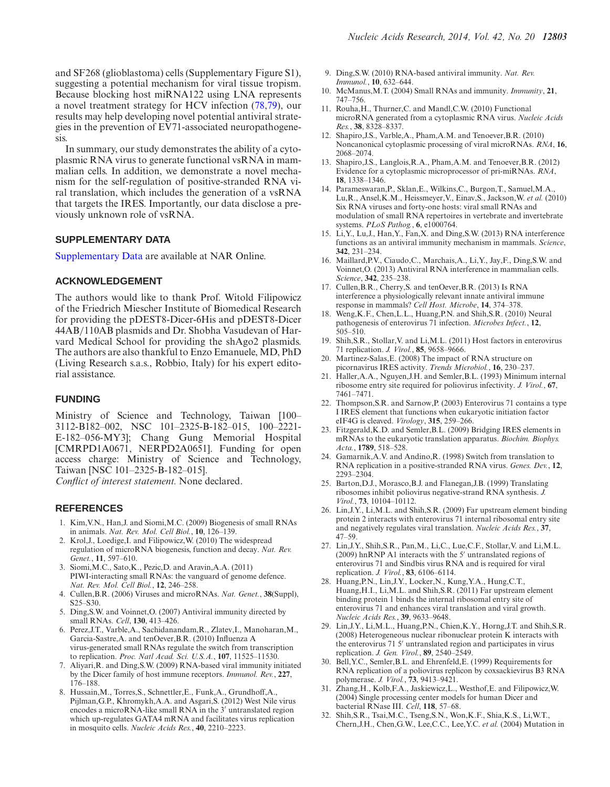<span id="page-16-0"></span>and SF268 (glioblastoma) cells (Supplementary Figure S1), suggesting a potential mechanism for viral tissue tropism. Because blocking host miRNA122 using LNA represents a novel treatment strategy for HCV infection [\(78,79\)](#page-18-0), our results may help developing novel potential antiviral strategies in the prevention of EV71-associated neuropathogenesis.

In summary, our study demonstrates the ability of a cytoplasmic RNA virus to generate functional vsRNA in mammalian cells. In addition, we demonstrate a novel mechanism for the self-regulation of positive-stranded RNA viral translation, which includes the generation of a vsRNA that targets the IRES. Importantly, our data disclose a previously unknown role of vsRNA.

## **SUPPLEMENTARY DATA**

[Supplementary Data](http://nar.oxfordjournals.org/lookup/suppl/doi:10.1093/nar/gku952/-/DC1) are available at NAR Online.

# **ACKNOWLEDGEMENT**

The authors would like to thank Prof. Witold Filipowicz of the Friedrich Miescher Institute of Biomedical Research for providing the pDEST8-Dicer-6His and pDEST8-Dicer 44AB/110AB plasmids and Dr. Shobha Vasudevan of Harvard Medical School for providing the shAgo2 plasmids. The authors are also thankful to Enzo Emanuele, MD, PhD (Living Research s.a.s., Robbio, Italy) for his expert editorial assistance.

# **FUNDING**

Ministry of Science and Technology, Taiwan [100– 3112-B182–002, NSC 101–2325-B-182–015, 100–2221- E-182–056-MY3]; Chang Gung Memorial Hospital [CMRPD1A0671, NERPD2A0651]. Funding for open access charge: Ministry of Science and Technology, Taiwan [NSC 101–2325-B-182–015].

*Conflict of interest statement.* None declared.

## **REFERENCES**

- 1. Kim,V.N., Han,J. and Siomi,M.C. (2009) Biogenesis of small RNAs in animals. *Nat. Rev. Mol. Cell Biol.*, **10**, 126–139.
- 2. Krol,J., Loedige,I. and Filipowicz,W. (2010) The widespread regulation of microRNA biogenesis, function and decay. *Nat. Rev. Genet.*, **11**, 597–610.
- 3. Siomi,M.C., Sato,K., Pezic,D. and Aravin,A.A. (2011) PIWI-interacting small RNAs: the vanguard of genome defence. *Nat. Rev. Mol. Cell Biol.*, **12**, 246–258.
- 4. Cullen,B.R. (2006) Viruses and microRNAs. *Nat. Genet.*, **38**(Suppl), S25–S30.
- 5. Ding,S.W. and Voinnet,O. (2007) Antiviral immunity directed by small RNAs. *Cell*, **130**, 413–426.
- 6. Perez,J.T., Varble,A., Sachidanandam,R., Zlatev,I., Manoharan,M., Garcia-Sastre,A. and tenOever,B.R. (2010) Influenza A virus-generated small RNAs regulate the switch from transcription to replication. *Proc. Natl Acad. Sci. U.S.A.*, **107**, 11525–11530.
- 7. Aliyari,R. and Ding,S.W. (2009) RNA-based viral immunity initiated by the Dicer family of host immune receptors. *Immunol. Rev.*, **227**, 176–188.
- 8. Hussain,M., Torres,S., Schnettler,E., Funk,A., Grundhoff,A., Pijlman,G.P., Khromykh,A.A. and Asgari,S. (2012) West Nile virus encodes a microRNA-like small RNA in the 3' untranslated region which up-regulates GATA4 mRNA and facilitates virus replication in mosquito cells. *Nucleic Acids Res.*, **40**, 2210–2223.
- 9. Ding,S.W. (2010) RNA-based antiviral immunity. *Nat. Rev. Immunol.*, **10**, 632–644.
- 10. McManus,M.T. (2004) Small RNAs and immunity. *Immunity*, **21**, 747–756.
- 11. Rouha,H., Thurner,C. and Mandl,C.W. (2010) Functional microRNA generated from a cytoplasmic RNA virus. *Nucleic Acids Res.*, **38**, 8328–8337.
- 12. Shapiro,J.S., Varble,A., Pham,A.M. and Tenoever,B.R. (2010) Noncanonical cytoplasmic processing of viral microRNAs. *RNA*, **16**, 2068–2074.
- 13. Shapiro,J.S., Langlois,R.A., Pham,A.M. and Tenoever,B.R. (2012) Evidence for a cytoplasmic microprocessor of pri-miRNAs. *RNA*, **18**, 1338–1346.
- 14. Parameswaran,P., Sklan,E., Wilkins,C., Burgon,T., Samuel,M.A., Lu,R., Ansel,K.M., Heissmeyer,V., Einav,S., Jackson,W. *et al.* (2010) Six RNA viruses and forty-one hosts: viral small RNAs and modulation of small RNA repertoires in vertebrate and invertebrate systems. *PLoS Pathog.*, **6**, e1000764.
- 15. Li,Y., Lu,J., Han,Y., Fan,X. and Ding,S.W. (2013) RNA interference functions as an antiviral immunity mechanism in mammals. *Science*, **342**, 231–234.
- 16. Maillard,P.V., Ciaudo,C., Marchais,A., Li,Y., Jay,F., Ding,S.W. and Voinnet,O. (2013) Antiviral RNA interference in mammalian cells. *Science*, **342**, 235–238.
- 17. Cullen,B.R., Cherry,S. and tenOever,B.R. (2013) Is RNA interference a physiologically relevant innate antiviral immune response in mammals? *Cell Host. Microbe*, **14**, 374–378.
- 18. Weng,K.F., Chen,L.L., Huang,P.N. and Shih,S.R. (2010) Neural pathogenesis of enterovirus 71 infection. *Microbes Infect.*, **12**,  $505 - 510$ .
- 19. Shih,S.R., Stollar,V. and Li,M.L. (2011) Host factors in enterovirus 71 replication. *J. Virol.*, **85**, 9658–9666.
- 20. Martinez-Salas,E. (2008) The impact of RNA structure on picornavirus IRES activity. *Trends Microbiol.*, **16**, 230–237.
- 21. Haller,A.A., Nguyen,J.H. and Semler,B.L. (1993) Minimum internal ribosome entry site required for poliovirus infectivity. *J. Virol.*, **67**, 7461–7471.
- 22. Thompson,S.R. and Sarnow,P. (2003) Enterovirus 71 contains a type I IRES element that functions when eukaryotic initiation factor eIF4G is cleaved. *Virology*, **315**, 259–266.
- 23. Fitzgerald,K.D. and Semler,B.L. (2009) Bridging IRES elements in mRNAs to the eukaryotic translation apparatus. *Biochim. Biophys. Acta.*, **1789**, 518–528.
- 24. Gamarnik,A.V. and Andino,R. (1998) Switch from translation to RNA replication in a positive-stranded RNA virus. *Genes. Dev.*, **12**, 2293–2304.
- 25. Barton,D.J., Morasco,B.J. and Flanegan,J.B. (1999) Translating ribosomes inhibit poliovirus negative-strand RNA synthesis. *J. Virol.*, **73**, 10104–10112.
- 26. Lin,J.Y., Li,M.L. and Shih,S.R. (2009) Far upstream element binding protein 2 interacts with enterovirus 71 internal ribosomal entry site and negatively regulates viral translation. *Nucleic Acids Res.*, **37**, 47–59.
- 27. Lin,J.Y., Shih,S.R., Pan,M., Li,C., Lue,C.F., Stollar,V. and Li,M.L. (2009) hnRNP A1 interacts with the  $5'$  untranslated regions of enterovirus 71 and Sindbis virus RNA and is required for viral replication. *J. Virol.*, **83**, 6106–6114.
- 28. Huang,P.N., Lin,J.Y., Locker,N., Kung,Y.A., Hung,C.T., Huang, H.I., Li, M.L. and Shih, S.R. (2011) Far upstream element binding protein 1 binds the internal ribosomal entry site of enterovirus 71 and enhances viral translation and viral growth. *Nucleic Acids Res.*, **39**, 9633–9648.
- 29. Lin,J.Y., Li,M.L., Huang,P.N., Chien,K.Y., Horng,J.T. and Shih,S.R. (2008) Heterogeneous nuclear ribonuclear protein K interacts with the enterovirus 71 5' untranslated region and participates in virus replication. *J. Gen. Virol.*, **89**, 2540–2549.
- 30. Bell,Y.C., Semler,B.L. and Ehrenfeld,E. (1999) Requirements for RNA replication of a poliovirus replicon by coxsackievirus B3 RNA polymerase. *J. Virol.*, **73**, 9413–9421.
- 31. Zhang,H., Kolb,F.A., Jaskiewicz,L., Westhof,E. and Filipowicz,W. (2004) Single processing center models for human Dicer and bacterial RNase III. *Cell*, **118**, 57–68.
- 32. Shih,S.R., Tsai,M.C., Tseng,S.N., Won,K.F., Shia,K.S., Li,W.T., Chern,J.H., Chen,G.W., Lee,C.C., Lee,Y.C. *et al.* (2004) Mutation in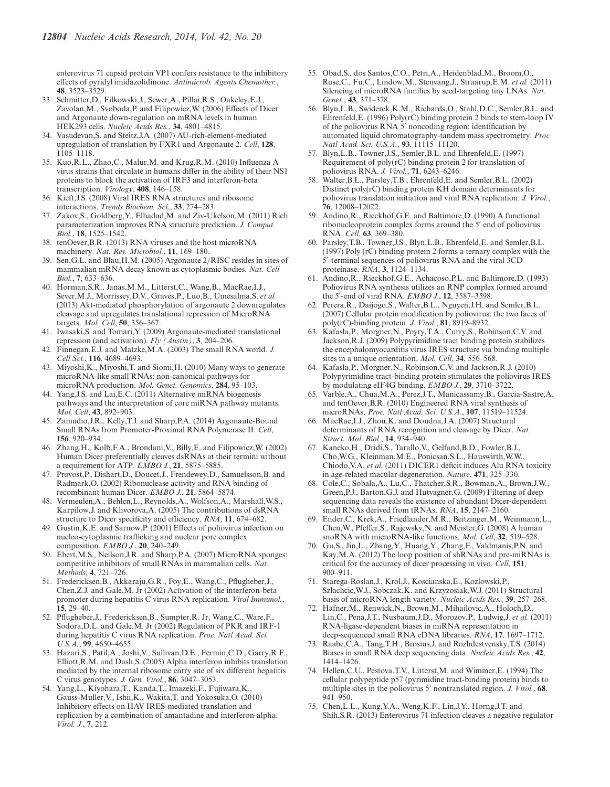<span id="page-17-0"></span>enterovirus 71 capsid protein VP1 confers resistance to the inhibitory effects of pyridyl imidazolidinone. *Antimicrob. Agents Chemother.*, **48**, 3523–3529.

- 33. Schmitter,D., Filkowski,J., Sewer,A., Pillai,R.S., Oakeley,E.J., Zavolan,M., Svoboda,P. and Filipowicz,W. (2006) Effects of Dicer and Argonaute down-regulation on mRNA levels in human HEK293 cells. *Nucleic Acids Res.*, **34**, 4801–4815.
- 34. Vasudevan,S. and Steitz,J.A. (2007) AU-rich-element-mediated upregulation of translation by FXR1 and Argonaute 2. *Cell*, **128**, 1105–1118.
- 35. Kuo,R.L., Zhao,C., Malur,M. and Krug,R.M. (2010) Influenza A virus strains that circulate in humans differ in the ability of their NS1 proteins to block the activation of IRF3 and interferon-beta transcription. *Virology*, **408**, 146–158.
- 36. Kieft,J.S. (2008) Viral IRES RNA structures and ribosome interactions. *Trends Biochem. Sci.*, **33**, 274–283.
- 37. Zakov,S., Goldberg,Y., Elhadad,M. and Ziv-Ukelson,M. (2011) Rich parameterization improves RNA structure prediction. *J. Comput. Biol.*, **18**, 1525–1542.
- 38. tenOever,B.R. (2013) RNA viruses and the host microRNA machinery. *Nat. Rev. Microbiol.*, **11**, 169–180.
- 39. Sen,G.L. and Blau,H.M. (2005) Argonaute 2/RISC resides in sites of mammalian mRNA decay known as cytoplasmic bodies. *Nat. Cell Biol.*, **7**, 633–636.
- 40. Horman,S.R., Janas,M.M., Litterst,C., Wang,B., MacRae,I.J., Sever,M.J., Morrissey,D.V., Graves,P., Luo,B., Umesalma,S. *et al.* (2013) Akt-mediated phosphorylation of argonaute 2 downregulates cleavage and upregulates translational repression of MicroRNA targets. *Mol. Cell*, **50**, 356–367.
- 41. Iwasaki,S. and Tomari,Y. (2009) Argonaute-mediated translational repression (and activation). *Fly (Austin)*, **3**, 204–206.
- 42. Finnegan,E.J. and Matzke,M.A. (2003) The small RNA world. *J. Cell Sci.*, **116**, 4689–4693.
- 43. Miyoshi,K., Miyoshi,T. and Siomi,H. (2010) Many ways to generate microRNA-like small RNAs: non-canonical pathways for microRNA production. *Mol. Genet. Genomics*, **284**, 95–103.
- 44. Yang,J.S. and Lai,E.C. (2011) Alternative miRNA biogenesis pathways and the interpretation of core miRNA pathway mutants. *Mol. Cell*, **43**, 892–903.
- 45. Zamudio,J.R., Kelly,T.J. and Sharp,P.A. (2014) Argonaute-Bound Small RNAs from Promoter-Proximal RNA Polymerase II. *Cell*, **156**, 920–934.
- 46. Zhang,H., Kolb,F.A., Brondani,V., Billy,E. and Filipowicz,W. (2002) Human Dicer preferentially cleaves dsRNAs at their termini without a requirement for ATP. *EMBO J.*, **21**, 5875–5885.
- 47. Provost,P., Dishart,D., Doucet,J., Frendewey,D., Samuelsson,B. and Radmark,O. (2002) Ribonuclease activity and RNA binding of recombinant human Dicer. *EMBO J.*, **21**, 5864–5874.
- 48. Vermeulen,A., Behlen,L., Reynolds,A., Wolfson,A., Marshall,W.S., Karpilow,J. and Khvorova,A. (2005) The contributions of dsRNA structure to Dicer specificity and efficiency. *RNA*, **11**, 674–682.
- 49. Gustin,K.E. and Sarnow,P. (2001) Effects of poliovirus infection on nucleo-cytoplasmic trafficking and nuclear pore complex composition. *EMBO J.*, **20**, 240–249.
- 50. Ebert,M.S., Neilson,J.R. and Sharp,P.A. (2007) MicroRNA sponges: competitive inhibitors of small RNAs in mammalian cells. *Nat. Methods*, **4**, 721–726.
- 51. Fredericksen,B., Akkaraju,G.R., Foy,E., Wang,C., Pflugheber,J., Chen,Z.J. and Gale,M. Jr (2002) Activation of the interferon-beta promoter during hepatitis C virus RNA replication. *Viral Immunol.*, **15**, 29–40.
- 52. Pflugheber,J., Fredericksen,B., Sumpter,R. Jr, Wang,C., Ware,F., Sodora,D.L. and Gale,M. Jr (2002) Regulation of PKR and IRF-1 during hepatitis C virus RNA replication. *Proc. Natl Acad. Sci. U.S.A.*, **99**, 4650–4655.
- 53. Hazari,S., Patil,A., Joshi,V., Sullivan,D.E., Fermin,C.D., Garry,R.F., Elliott,R.M. and Dash,S. (2005) Alpha interferon inhibits translation mediated by the internal ribosome entry site of six different hepatitis C virus genotypes. *J. Gen. Virol.*, **86**, 3047–3053.
- 54. Yang,L., Kiyohara,T., Kanda,T., Imazeki,F., Fujiwara,K., Gauss-Muller,V., Ishii,K., Wakita,T. and Yokosuka,O. (2010) Inhibitory effects on HAV IRES-mediated translation and replication by a combination of amantadine and interferon-alpha. *Virol. J.*, **7**, 212.
- 55. Obad,S., dos Santos,C.O., Petri,A., Heidenblad,M., Broom,O., Ruse,C., Fu,C., Lindow,M., Stenvang,J., Straarup,E.M. *et al.* (2011) Silencing of microRNA families by seed-targeting tiny LNAs. *Nat. Genet.*, **43**, 371–378.
- 56. Blyn,L.B., Swiderek,K.M., Richards,O., Stahl,D.C., Semler,B.L. and Ehrenfeld,E. (1996) Poly(rC) binding protein 2 binds to stem-loop IV of the poliovirus RNA  $5'$  noncoding region: identification by automated liquid chromatography-tandem mass spectrometry. *Proc. Natl Acad. Sci. U.S.A.*, **93**, 11115–11120.
- 57. Blyn,L.B., Towner,J.S., Semler,B.L. and Ehrenfeld,E. (1997) Requirement of poly(rC) binding protein 2 for translation of poliovirus RNA. *J. Virol.*, **71**, 6243–6246.
- 58. Walter,B.L., Parsley,T.B., Ehrenfeld,E. and Semler,B.L. (2002) Distinct poly(rC) binding protein KH domain determinants for poliovirus translation initiation and viral RNA replication. *J. Virol.*, **76**, 12008–12022.
- 59. Andino,R., Rieckhof,G.E. and Baltimore,D. (1990) A functional ribonucleoprotein complex forms around the 5' end of poliovirus RNA. *Cell*, **63**, 369–380.
- 60. Parsley,T.B., Towner,J.S., Blyn,L.B., Ehrenfeld,E. and Semler,B.L. (1997) Poly (rC) binding protein 2 forms a ternary complex with the 5 -terminal sequences of poliovirus RNA and the viral 3CD proteinase. *RNA*, **3**, 1124–1134.
- 61. Andino,R., Rieckhof,G.E., Achacoso,P.L. and Baltimore,D. (1993) Poliovirus RNA synthesis utilizes an RNP complex formed around the 5 -end of viral RNA. *EMBO J.*, **12**, 3587–3598.
- 62. Perera,R., Daijogo,S., Walter,B.L., Nguyen,J.H. and Semler,B.L. (2007) Cellular protein modification by poliovirus: the two faces of poly(rC)-binding protein. *J. Virol.*, **81**, 8919–8932.
- 63. Kafasla,P., Morgner,N., Poyry,T.A., Curry,S., Robinson,C.V. and Jackson,R.J. (2009) Polypyrimidine tract binding protein stabilizes the encephalomyocarditis virus IRES structure via binding multiple sites in a unique orientation. *Mol. Cell*, **34**, 556–568.
- 64. Kafasla,P., Morgner,N., Robinson,C.V. and Jackson,R.J. (2010) Polypyrimidine tract-binding protein stimulates the poliovirus IRES by modulating eIF4G binding. *EMBO J.*, **29**, 3710–3722.
- 65. Varble,A., Chua,M.A., Perez,J.T., Manicassamy,B., Garcia-Sastre,A. and tenOever,B.R. (2010) Engineered RNA viral synthesis of microRNAs. *Proc. Natl Acad. Sci. U.S.A.*, **107**, 11519–11524.
- 66. MacRae,I.J., Zhou,K. and Doudna,J.A. (2007) Structural determinants of RNA recognition and cleavage by Dicer. *Nat. Struct. Mol. Biol.*, **14**, 934–940.
- 67. Kaneko,H., Dridi,S., Tarallo,V., Gelfand,B.D., Fowler,B.J., Cho,W.G., Kleinman,M.E., Ponicsan,S.L., Hauswirth,W.W., Chiodo,V.A. *et al.* (2011) DICER1 deficit induces Alu RNA toxicity in age-related macular degeneration. *Nature*, **471**, 325–330.
- 68. Cole,C., Sobala,A., Lu,C., Thatcher,S.R., Bowman,A., Brown,J.W., Green,P.J., Barton,G.J. and Hutvagner,G. (2009) Filtering of deep sequencing data reveals the existence of abundant Dicer-dependent small RNAs derived from tRNAs. *RNA*, **15**, 2147–2160.
- 69. Ender,C., Krek,A., Friedlander,M.R., Beitzinger,M., Weinmann,L., Chen,W., Pfeffer,S., Rajewsky,N. and Meister,G. (2008) A human snoRNA with microRNA-like functions. *Mol. Cell*, **32**, 519–528.
- 70. Gu,S., Jin,L., Zhang,Y., Huang,Y., Zhang,F., Valdmanis,P.N. and Kay,M.A. (2012) The loop position of shRNAs and pre-miRNAs is critical for the accuracy of dicer processing in vivo. *Cell*, **151**, 900–911.
- 71. Starega-Roslan,J., Krol,J., Koscianska,E., Kozlowski,P., Szlachcic,W.J., Sobczak,K. and Krzyzosiak,W.J. (2011) Structural basis of microRNA length variety. *Nucleic Acids Res.*, **39**, 257–268.
- 72. Hafner,M., Renwick,N., Brown,M., Mihailovic,A., Holoch,D., Lin,C., Pena,J.T., Nusbaum,J.D., Morozov,P., Ludwig,J. *et al.* (2011) RNA-ligase-dependent biases in miRNA representation in deep-sequenced small RNA cDNA libraries. *RNA*, **17**, 1697–1712.
- 73. Raabe,C.A., Tang,T.H., Brosius,J. and Rozhdestvensky,T.S. (2014) Biases in small RNA deep sequencing data. *Nucleic Acids Res.*, **42**, 1414–1426.
- 74. Hellen,C.U., Pestova,T.V., Litterst,M. and Wimmer,E. (1994) The cellular polypeptide p57 (pyrimidine tract-binding protein) binds to multiple sites in the poliovirus 5' nontranslated region. *J. Virol.*, **68**, 941–950.
- 75. Chen,L.L., Kung,Y.A., Weng,K.F., Lin,J.Y., Horng,J.T. and Shih,S.R. (2013) Enterovirus 71 infection cleaves a negative regulator